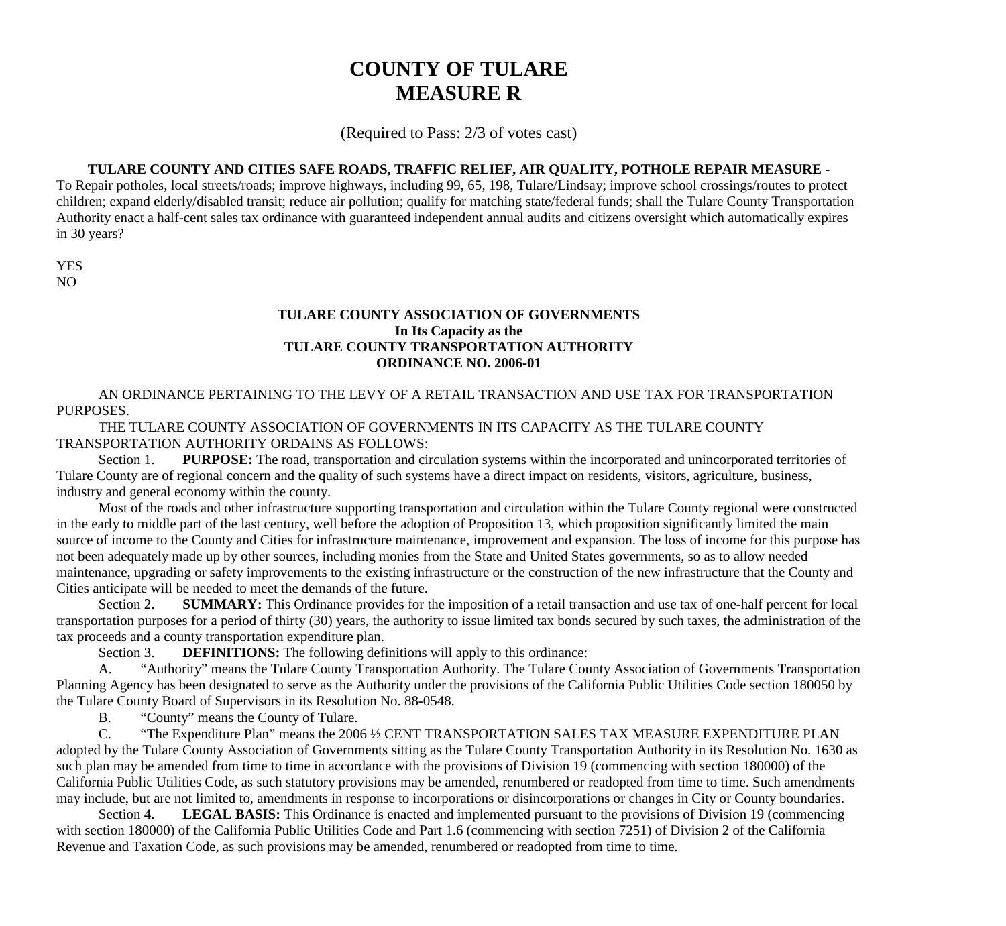# **COUNTY OF TULARE MEASURE R**

(Required to Pass: 2/3 of votes cast)

## **TULARE COUNTY AND CITIES SAFE ROADS, TRAFFIC RELIEF, AIR QUALITY, POTHOLE REPAIR MEASURE -**

To Repair potholes, local streets/roads; improve highways, including 99, 65, 198, Tulare/Lindsay; improve school crossings/routes to protect children; expand elderly/disabled transit; reduce air pollution; qualify for matching state/federal funds; shall the Tulare County Transportation Authority enact a half-cent sales tax ordinance with guaranteed independent annual audits and citizens oversight which automatically expires in 30 years?

YES NO

# **TULARE COUNTY ASSOCIATION OF GOVERNMENTS In Its Capacity as the TULARE COUNTY TRANSPORTATION AUTHORITY ORDINANCE NO. 2006-01**

AN ORDINANCE PERTAINING TO THE LEVY OF A RETAIL TRANSACTION AND USE TAX FOR TRANSPORTATION PURPOSES.

THE TULARE COUNTY ASSOCIATION OF GOVERNMENTS IN ITS CAPACITY AS THE TULARE COUNTY TRANSPORTATION AUTHORITY ORDAINS AS FOLLOWS:

Section 1. **PURPOSE:** The road, transportation and circulation systems within the incorporated and unincorporated territories of Tulare County are of regional concern and the quality of such systems have a direct impact on residents, visitors, agriculture, business, industry and general economy within the county.

Most of the roads and other infrastructure supporting transportation and circulation within the Tulare County regional were constructed in the early to middle part of the last century, well before the adoption of Proposition 13, which proposition significantly limited the main source of income to the County and Cities for infrastructure maintenance, improvement and expansion. The loss of income for this purpose has not been adequately made up by other sources, including monies from the State and United States governments, so as to allow needed maintenance, upgrading or safety improvements to the existing infrastructure or the construction of the new infrastructure that the County and Cities anticipate will be needed to meet the demands of the future.

Section 2. **SUMMARY:** This Ordinance provides for the imposition of a retail transaction and use tax of one-half percent for local transportation purposes for a period of thirty (30) years, the authority to issue limited tax bonds secured by such taxes, the administration of the tax proceeds and a county transportation expenditure plan.

Section 3. **DEFINITIONS:** The following definitions will apply to this ordinance:

A. "Authority" means the Tulare County Transportation Authority. The Tulare County Association of Governments Transportation Planning Agency has been designated to serve as the Authority under the provisions of the California Public Utilities Code section 180050 by the Tulare County Board of Supervisors in its Resolution No. 88-0548.

B. "County" means the County of Tulare.

C. "The Expenditure Plan" means the 2006 ½ CENT TRANSPORTATION SALES TAX MEASURE EXPENDITURE PLAN adopted by the Tulare County Association of Governments sitting as the Tulare County Transportation Authority in its Resolution No. 1630 as such plan may be amended from time to time in accordance with the provisions of Division 19 (commencing with section 180000) of the California Public Utilities Code, as such statutory provisions may be amended, renumbered or readopted from time to time. Such amendments may include, but are not limited to, amendments in response to incorporations or disincorporations or changes in City or County boundaries.

Section 4. **LEGAL BASIS:** This Ordinance is enacted and implemented pursuant to the provisions of Division 19 (commencing with section 180000) of the California Public Utilities Code and Part 1.6 (commencing with section 7251) of Division 2 of the California Revenue and Taxation Code, as such provisions may be amended, renumbered or readopted from time to time.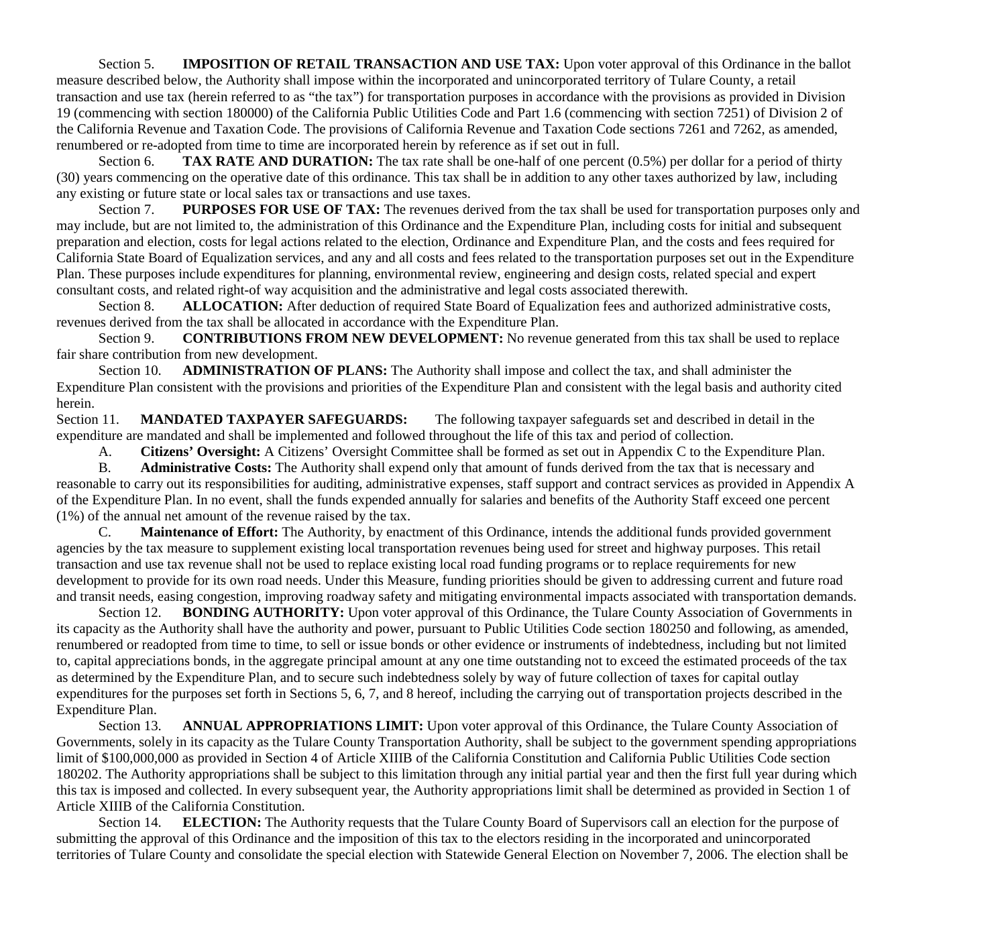Section 5. **IMPOSITION OF RETAIL TRANSACTION AND USE TAX:** Upon voter approval of this Ordinance in the ballot measure described below, the Authority shall impose within the incorporated and unincorporated territory of Tulare County, a retail transaction and use tax (herein referred to as "the tax") for transportation purposes in accordance with the provisions as provided in Division 19 (commencing with section 180000) of the California Public Utilities Code and Part 1.6 (commencing with section 7251) of Division 2 of the California Revenue and Taxation Code. The provisions of California Revenue and Taxation Code sections 7261 and 7262, as amended, renumbered or re-adopted from time to time are incorporated herein by reference as if set out in full.

Section 6. **TAX RATE AND DURATION:** The tax rate shall be one-half of one percent (0.5%) per dollar for a period of thirty (30) years commencing on the operative date of this ordinance. This tax shall be in addition to any other taxes authorized by law, including any existing or future state or local sales tax or transactions and use taxes.

Section 7. **PURPOSES FOR USE OF TAX:** The revenues derived from the tax shall be used for transportation purposes only and may include, but are not limited to, the administration of this Ordinance and the Expenditure Plan, including costs for initial and subsequent preparation and election, costs for legal actions related to the election, Ordinance and Expenditure Plan, and the costs and fees required for California State Board of Equalization services, and any and all costs and fees related to the transportation purposes set out in the Expenditure Plan. These purposes include expenditures for planning, environmental review, engineering and design costs, related special and expert consultant costs, and related right-of way acquisition and the administrative and legal costs associated therewith.

Section 8. **ALLOCATION:** After deduction of required State Board of Equalization fees and authorized administrative costs, revenues derived from the tax shall be allocated in accordance with the Expenditure Plan.

Section 9. **CONTRIBUTIONS FROM NEW DEVELOPMENT:** No revenue generated from this tax shall be used to replace fair share contribution from new development.

Section 10. **ADMINISTRATION OF PLANS:** The Authority shall impose and collect the tax, and shall administer the Expenditure Plan consistent with the provisions and priorities of the Expenditure Plan and consistent with the legal basis and authority cited herein.

Section 11. **MANDATED TAXPAYER SAFEGUARDS:** The following taxpayer safeguards set and described in detail in the expenditure are mandated and shall be implemented and followed throughout the life of this tax and period of collection.

A. **Citizens' Oversight:** A Citizens' Oversight Committee shall be formed as set out in Appendix C to the Expenditure Plan.

B. **Administrative Costs:** The Authority shall expend only that amount of funds derived from the tax that is necessary and reasonable to carry out its responsibilities for auditing, administrative expenses, staff support and contract services as provided in Appendix A of the Expenditure Plan. In no event, shall the funds expended annually for salaries and benefits of the Authority Staff exceed one percent (1%) of the annual net amount of the revenue raised by the tax.

C. **Maintenance of Effort:** The Authority, by enactment of this Ordinance, intends the additional funds provided government agencies by the tax measure to supplement existing local transportation revenues being used for street and highway purposes. This retail transaction and use tax revenue shall not be used to replace existing local road funding programs or to replace requirements for new development to provide for its own road needs. Under this Measure, funding priorities should be given to addressing current and future road and transit needs, easing congestion, improving roadway safety and mitigating environmental impacts associated with transportation demands.

Section 12. **BONDING AUTHORITY:** Upon voter approval of this Ordinance, the Tulare County Association of Governments in its capacity as the Authority shall have the authority and power, pursuant to Public Utilities Code section 180250 and following, as amended, renumbered or readopted from time to time, to sell or issue bonds or other evidence or instruments of indebtedness, including but not limited to, capital appreciations bonds, in the aggregate principal amount at any one time outstanding not to exceed the estimated proceeds of the tax as determined by the Expenditure Plan, and to secure such indebtedness solely by way of future collection of taxes for capital outlay expenditures for the purposes set forth in Sections 5, 6, 7, and 8 hereof, including the carrying out of transportation projects described in the Expenditure Plan.

Section 13. **ANNUAL APPROPRIATIONS LIMIT:** Upon voter approval of this Ordinance, the Tulare County Association of Governments, solely in its capacity as the Tulare County Transportation Authority, shall be subject to the government spending appropriations limit of \$100,000,000 as provided in Section 4 of Article XIIIB of the California Constitution and California Public Utilities Code section 180202. The Authority appropriations shall be subject to this limitation through any initial partial year and then the first full year during which this tax is imposed and collected. In every subsequent year, the Authority appropriations limit shall be determined as provided in Section 1 of Article XIIIB of the California Constitution.

Section 14. **ELECTION:** The Authority requests that the Tulare County Board of Supervisors call an election for the purpose of submitting the approval of this Ordinance and the imposition of this tax to the electors residing in the incorporated and unincorporated territories of Tulare County and consolidate the special election with Statewide General Election on November 7, 2006. The election shall be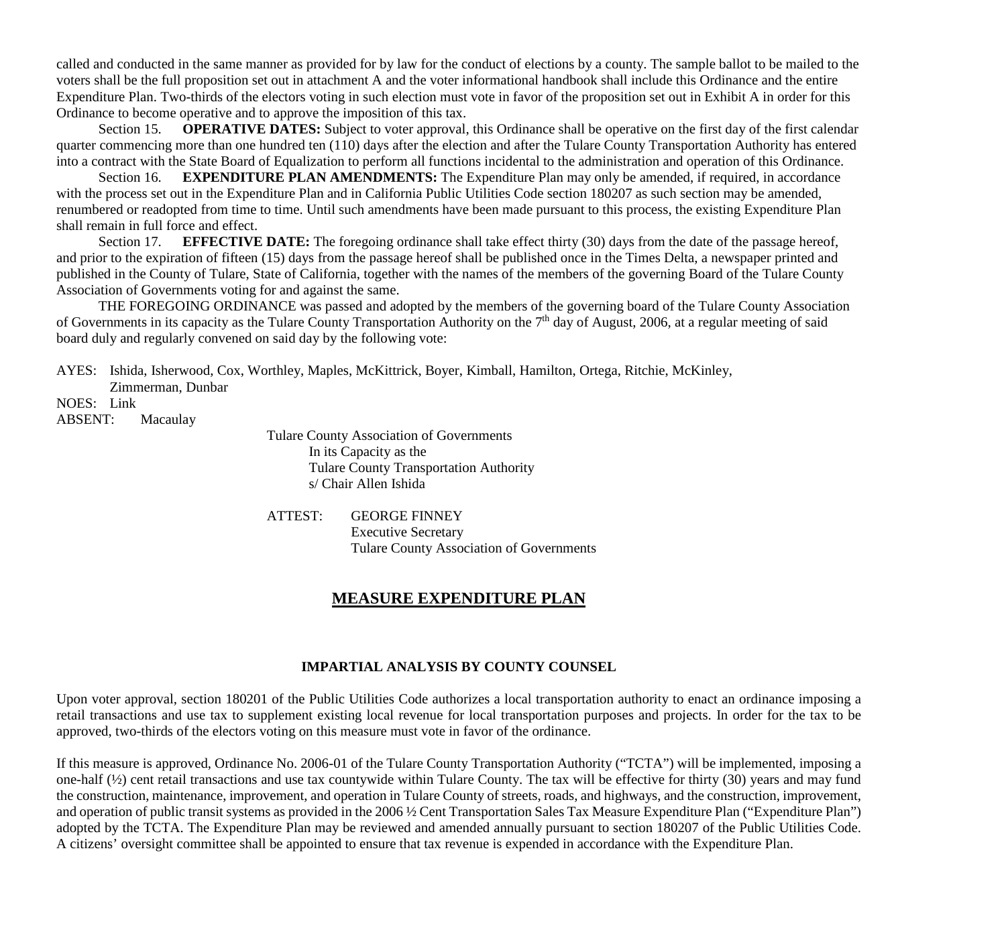called and conducted in the same manner as provided for by law for the conduct of elections by a county. The sample ballot to be mailed to the voters shall be the full proposition set out in attachment A and the voter informational handbook shall include this Ordinance and the entire Expenditure Plan. Two-thirds of the electors voting in such election must vote in favor of the proposition set out in Exhibit A in order for this Ordinance to become operative and to approve the imposition of this tax.

Section 15. **OPERATIVE DATES:** Subject to voter approval, this Ordinance shall be operative on the first day of the first calendar quarter commencing more than one hundred ten (110) days after the election and after the Tulare County Transportation Authority has entered into a contract with the State Board of Equalization to perform all functions incidental to the administration and operation of this Ordinance.

Section 16. **EXPENDITURE PLAN AMENDMENTS:** The Expenditure Plan may only be amended, if required, in accordance with the process set out in the Expenditure Plan and in California Public Utilities Code section 180207 as such section may be amended, renumbered or readopted from time to time. Until such amendments have been made pursuant to this process, the existing Expenditure Plan shall remain in full force and effect.

Section 17. **EFFECTIVE DATE:** The foregoing ordinance shall take effect thirty (30) days from the date of the passage hereof, and prior to the expiration of fifteen (15) days from the passage hereof shall be published once in the Times Delta, a newspaper printed and published in the County of Tulare, State of California, together with the names of the members of the governing Board of the Tulare County Association of Governments voting for and against the same.

THE FOREGOING ORDINANCE was passed and adopted by the members of the governing board of the Tulare County Association of Governments in its capacity as the Tulare County Transportation Authority on the 7<sup>th</sup> day of August, 2006, at a regular meeting of said board duly and regularly convened on said day by the following vote:

AYES: Ishida, Isherwood, Cox, Worthley, Maples, McKittrick, Boyer, Kimball, Hamilton, Ortega, Ritchie, McKinley,

Zimmerman, Dunbar NOES: Link

ABSENT: Macaulay

Tulare County Association of Governments In its Capacity as the Tulare County Transportation Authority s/ Chair Allen Ishida

ATTEST: GEORGE FINNEY Executive Secretary Tulare County Association of Governments

# **MEASURE EXPENDITURE PLAN**

# **IMPARTIAL ANALYSIS BY COUNTY COUNSEL**

Upon voter approval, section 180201 of the Public Utilities Code authorizes a local transportation authority to enact an ordinance imposing a retail transactions and use tax to supplement existing local revenue for local transportation purposes and projects. In order for the tax to be approved, two-thirds of the electors voting on this measure must vote in favor of the ordinance.

If this measure is approved, Ordinance No. 2006-01 of the Tulare County Transportation Authority ("TCTA") will be implemented, imposing a one-half (½) cent retail transactions and use tax countywide within Tulare County. The tax will be effective for thirty (30) years and may fund the construction, maintenance, improvement, and operation in Tulare County of streets, roads, and highways, and the construction, improvement, and operation of public transit systems as provided in the 2006 ½ Cent Transportation Sales Tax Measure Expenditure Plan ("Expenditure Plan") adopted by the TCTA. The Expenditure Plan may be reviewed and amended annually pursuant to section 180207 of the Public Utilities Code. A citizens' oversight committee shall be appointed to ensure that tax revenue is expended in accordance with the Expenditure Plan.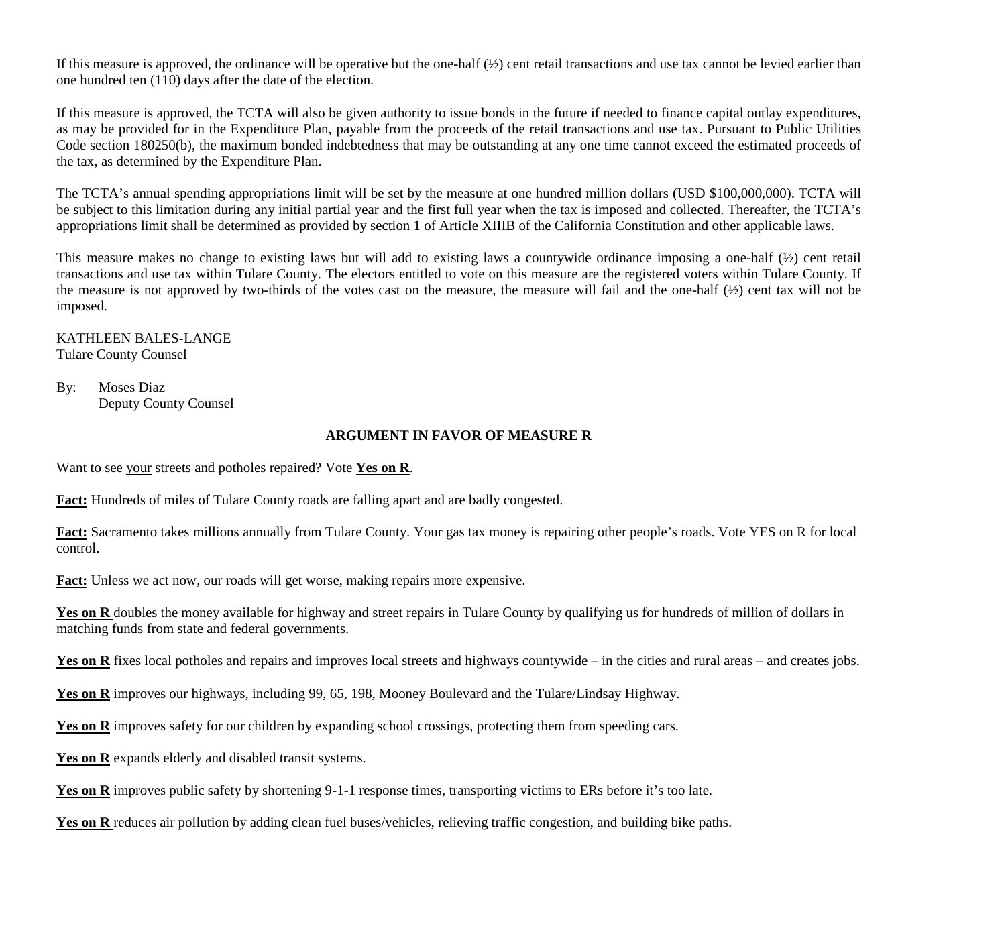If this measure is approved, the ordinance will be operative but the one-half  $\frac{1}{2}$  cent retail transactions and use tax cannot be levied earlier than one hundred ten (110) days after the date of the election.

If this measure is approved, the TCTA will also be given authority to issue bonds in the future if needed to finance capital outlay expenditures, as may be provided for in the Expenditure Plan, payable from the proceeds of the retail transactions and use tax. Pursuant to Public Utilities Code section 180250(b), the maximum bonded indebtedness that may be outstanding at any one time cannot exceed the estimated proceeds of the tax, as determined by the Expenditure Plan.

The TCTA's annual spending appropriations limit will be set by the measure at one hundred million dollars (USD \$100,000,000). TCTA will be subject to this limitation during any initial partial year and the first full year when the tax is imposed and collected. Thereafter, the TCTA's appropriations limit shall be determined as provided by section 1 of Article XIIIB of the California Constitution and other applicable laws.

This measure makes no change to existing laws but will add to existing laws a countywide ordinance imposing a one-half  $\frac{1}{2}$  cent retail transactions and use tax within Tulare County. The electors entitled to vote on this measure are the registered voters within Tulare County. If the measure is not approved by two-thirds of the votes cast on the measure, the measure will fail and the one-half  $(\frac{1}{2})$  cent tax will not be imposed.

KATHLEEN BALES-LANGE Tulare County Counsel

By: Moses Diaz Deputy County Counsel

## **ARGUMENT IN FAVOR OF MEASURE R**

Want to see your streets and potholes repaired? Vote **Yes on R**.

**Fact:** Hundreds of miles of Tulare County roads are falling apart and are badly congested.

**Fact:** Sacramento takes millions annually from Tulare County. Your gas tax money is repairing other people's roads. Vote YES on R for local control.

**Fact:** Unless we act now, our roads will get worse, making repairs more expensive.

**Yes on R** doubles the money available for highway and street repairs in Tulare County by qualifying us for hundreds of million of dollars in matching funds from state and federal governments.

Yes on R fixes local potholes and repairs and improves local streets and highways countywide – in the cities and rural areas – and creates jobs.

**Yes on R** improves our highways, including 99, 65, 198, Mooney Boulevard and the Tulare/Lindsay Highway.

Yes on R improves safety for our children by expanding school crossings, protecting them from speeding cars.

Yes on R expands elderly and disabled transit systems.

Yes on R improves public safety by shortening 9-1-1 response times, transporting victims to ERs before it's too late.

Yes on R reduces air pollution by adding clean fuel buses/vehicles, relieving traffic congestion, and building bike paths.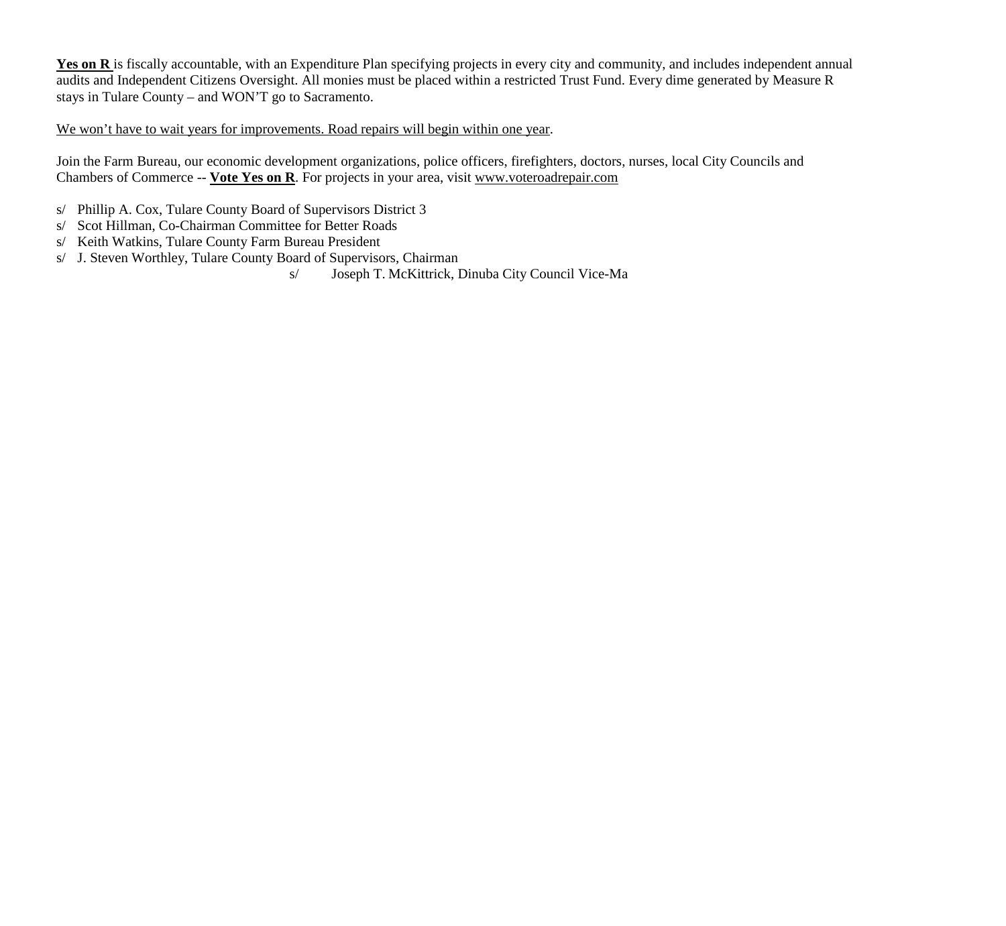Yes on R is fiscally accountable, with an Expenditure Plan specifying projects in every city and community, and includes independent annual audits and Independent Citizens Oversight. All monies must be placed within a restricted Trust Fund. Every dime generated by Measure R stays in Tulare County – and WON'T go to Sacramento.

# We won't have to wait years for improvements. Road repairs will begin within one year.

Join the Farm Bureau, our economic development organizations, police officers, firefighters, doctors, nurses, local City Councils and Chambers of Commerce -- **Vote Yes on R**. For projects in your area, visit www.voteroadrepair.com

- s/ Phillip A. Cox, Tulare County Board of Supervisors District 3
- s/ Scot Hillman, Co-Chairman Committee for Better Roads
- s/ Keith Watkins, Tulare County Farm Bureau President
- s/ J. Steven Worthley, Tulare County Board of Supervisors, Chairman
	- s/ Joseph T. McKittrick, Dinuba City Council Vice-Ma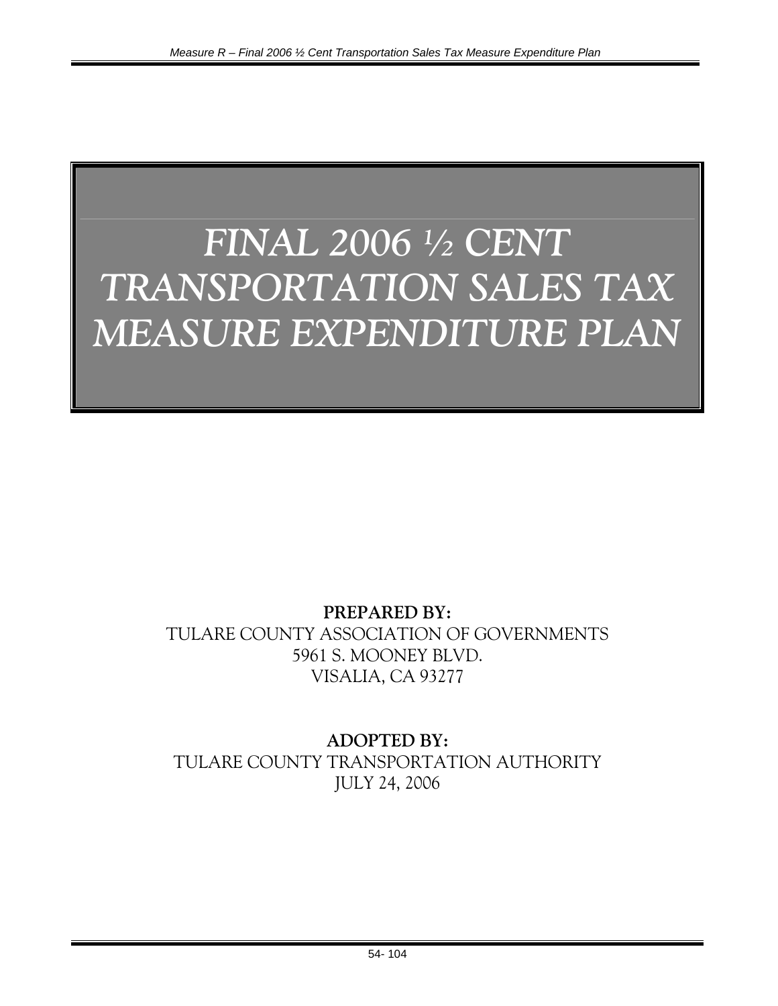# *FINAL 2006 ½ CENT TRANSPORTATION SALES TAX MEASURE EXPENDITURE PLAN*

# **PREPARED BY:**  TULARE COUNTY ASSOCIATION OF GOVERNMENTS 5961 S. MOONEY BLVD. VISALIA, CA 93277

# **ADOPTED BY:**  TULARE COUNTY TRANSPORTATION AUTHORITY JULY 24, 2006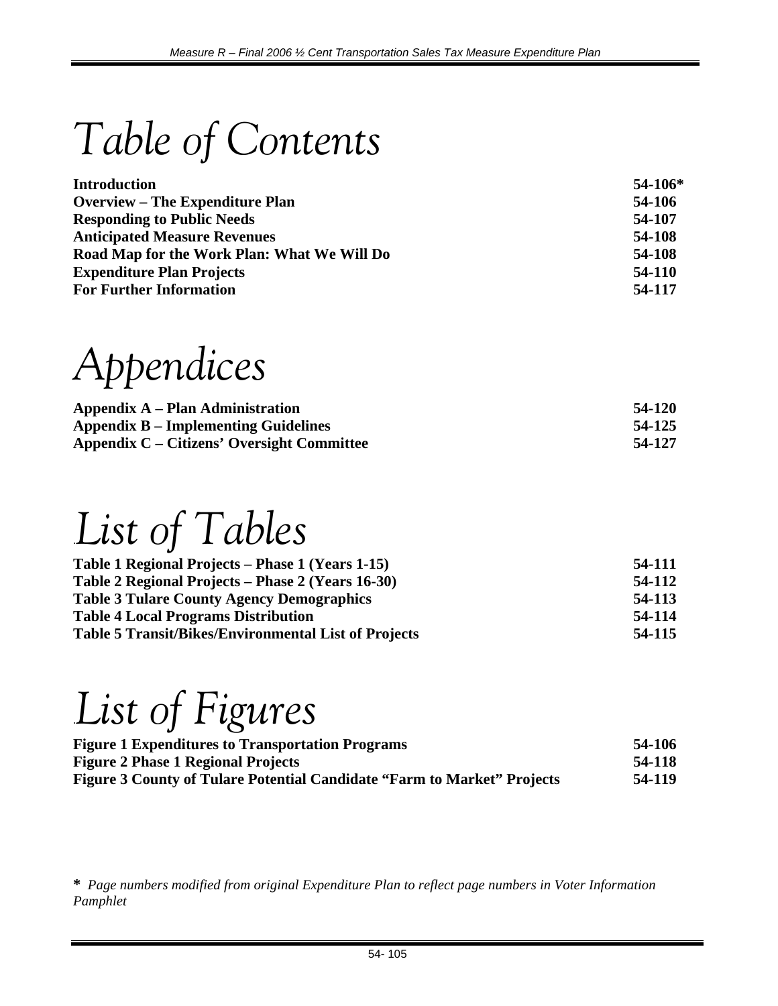*Table of Contents* 

| <b>Introduction</b>                         | $54-106*$ |
|---------------------------------------------|-----------|
| <b>Overview – The Expenditure Plan</b>      | 54-106    |
| <b>Responding to Public Needs</b>           | 54-107    |
| <b>Anticipated Measure Revenues</b>         | 54-108    |
| Road Map for the Work Plan: What We Will Do | 54-108    |
| <b>Expenditure Plan Projects</b>            | 54-110    |
| <b>For Further Information</b>              | 54-117    |

*Appendices* 

| Appendix A – Plan Administration                  | 54-120 |
|---------------------------------------------------|--------|
| <b>Appendix B – Implementing Guidelines</b>       | 54-125 |
| <b>Appendix C – Citizens' Oversight Committee</b> | 54-127 |

.*List of Tables* 

| 54-111 |
|--------|
| 54-112 |
| 54-113 |
| 54-114 |
| 54-115 |
|        |

# .*List of Figures*

| <b>Figure 1 Expenditures to Transportation Programs</b>                        | 54-106 |
|--------------------------------------------------------------------------------|--------|
| <b>Figure 2 Phase 1 Regional Projects</b>                                      | 54-118 |
| <b>Figure 3 County of Tulare Potential Candidate "Farm to Market" Projects</b> | 54-119 |

**\*** *Page numbers modified from original Expenditure Plan to reflect page numbers in Voter Information Pamphlet*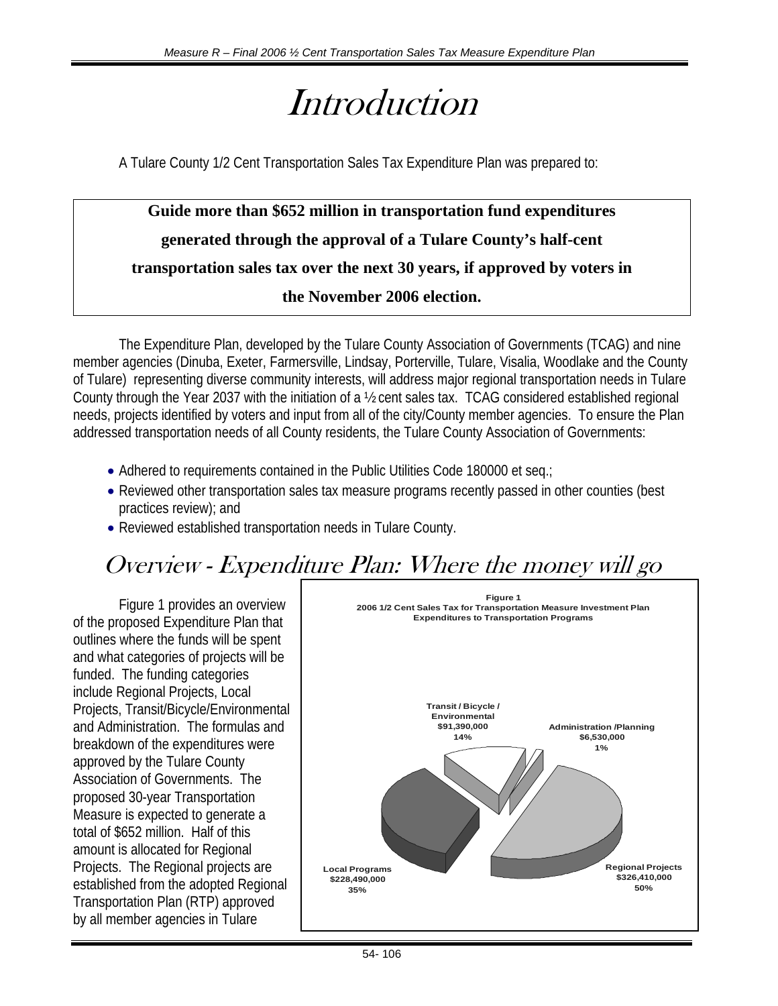# *Introduction*

A Tulare County 1/2 Cent Transportation Sales Tax Expenditure Plan was prepared to:

# **Guide more than \$652 million in transportation fund expenditures generated through the approval of a Tulare County's half-cent transportation sales tax over the next 30 years, if approved by voters in the November 2006 election.**

The Expenditure Plan, developed by the Tulare County Association of Governments (TCAG) and nine member agencies (Dinuba, Exeter, Farmersville, Lindsay, Porterville, Tulare, Visalia, Woodlake and the County of Tulare) representing diverse community interests, will address major regional transportation needs in Tulare County through the Year 2037 with the initiation of a ½ cent sales tax. TCAG considered established regional needs, projects identified by voters and input from all of the city/County member agencies. To ensure the Plan addressed transportation needs of all County residents, the Tulare County Association of Governments:

- Adhered to requirements contained in the Public Utilities Code 180000 et seq.;
- Reviewed other transportation sales tax measure programs recently passed in other counties (best practices review); and
- Reviewed established transportation needs in Tulare County.

# Overview - Expenditure Plan: Where the money will go

Figure 1 provides an overview of the proposed Expenditure Plan that outlines where the funds will be spent and what categories of projects will be funded. The funding categories include Regional Projects, Local Projects, Transit/Bicycle/Environmental and Administration. The formulas and breakdown of the expenditures were approved by the Tulare County Association of Governments. The proposed 30-year Transportation Measure is expected to generate a total of \$652 million. Half of this amount is allocated for Regional Projects. The Regional projects are established from the adopted Regional Transportation Plan (RTP) approved by all member agencies in Tulare

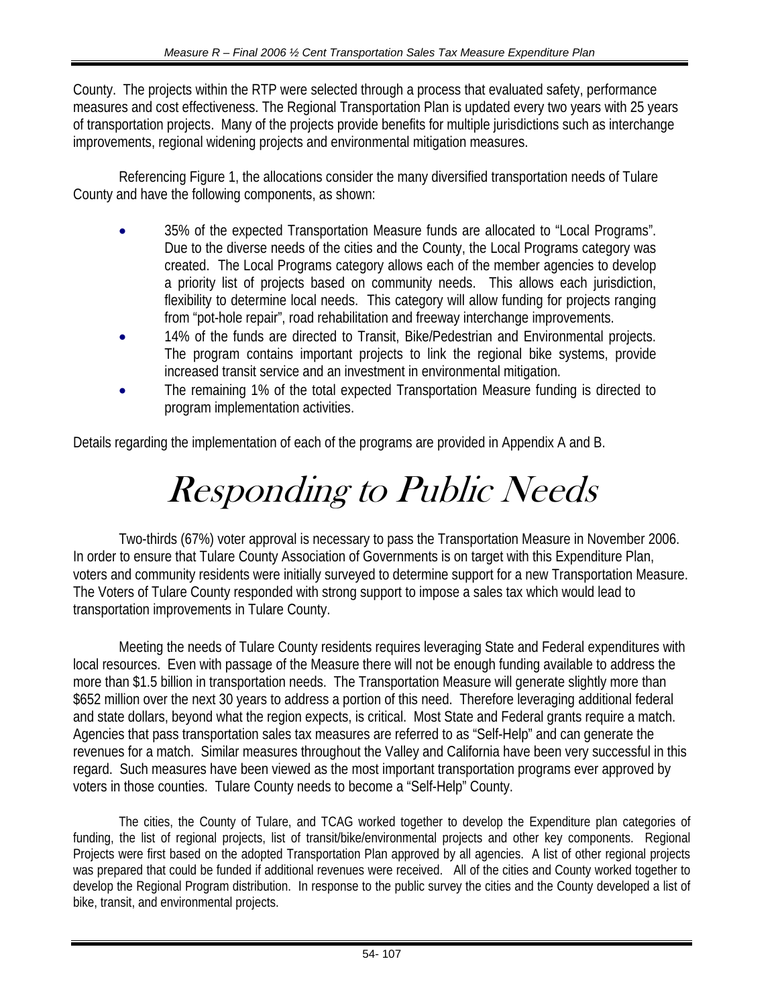County. The projects within the RTP were selected through a process that evaluated safety, performance measures and cost effectiveness. The Regional Transportation Plan is updated every two years with 25 years of transportation projects. Many of the projects provide benefits for multiple jurisdictions such as interchange improvements, regional widening projects and environmental mitigation measures.

Referencing Figure 1, the allocations consider the many diversified transportation needs of Tulare County and have the following components, as shown:

- 35% of the expected Transportation Measure funds are allocated to "Local Programs". Due to the diverse needs of the cities and the County, the Local Programs category was created. The Local Programs category allows each of the member agencies to develop a priority list of projects based on community needs. This allows each jurisdiction, flexibility to determine local needs. This category will allow funding for projects ranging from "pot-hole repair", road rehabilitation and freeway interchange improvements.
- 14% of the funds are directed to Transit, Bike/Pedestrian and Environmental projects. The program contains important projects to link the regional bike systems, provide increased transit service and an investment in environmental mitigation.
- The remaining 1% of the total expected Transportation Measure funding is directed to program implementation activities.

Details regarding the implementation of each of the programs are provided in Appendix A and B.

# Responding to Public Needs

Two-thirds (67%) voter approval is necessary to pass the Transportation Measure in November 2006. In order to ensure that Tulare County Association of Governments is on target with this Expenditure Plan, voters and community residents were initially surveyed to determine support for a new Transportation Measure. The Voters of Tulare County responded with strong support to impose a sales tax which would lead to transportation improvements in Tulare County.

Meeting the needs of Tulare County residents requires leveraging State and Federal expenditures with local resources. Even with passage of the Measure there will not be enough funding available to address the more than \$1.5 billion in transportation needs. The Transportation Measure will generate slightly more than \$652 million over the next 30 years to address a portion of this need. Therefore leveraging additional federal and state dollars, beyond what the region expects, is critical. Most State and Federal grants require a match. Agencies that pass transportation sales tax measures are referred to as "Self-Help" and can generate the revenues for a match. Similar measures throughout the Valley and California have been very successful in this regard. Such measures have been viewed as the most important transportation programs ever approved by voters in those counties. Tulare County needs to become a "Self-Help" County.

 The cities, the County of Tulare, and TCAG worked together to develop the Expenditure plan categories of funding, the list of regional projects, list of transit/bike/environmental projects and other key components. Regional Projects were first based on the adopted Transportation Plan approved by all agencies. A list of other regional projects was prepared that could be funded if additional revenues were received. All of the cities and County worked together to develop the Regional Program distribution. In response to the public survey the cities and the County developed a list of bike, transit, and environmental projects.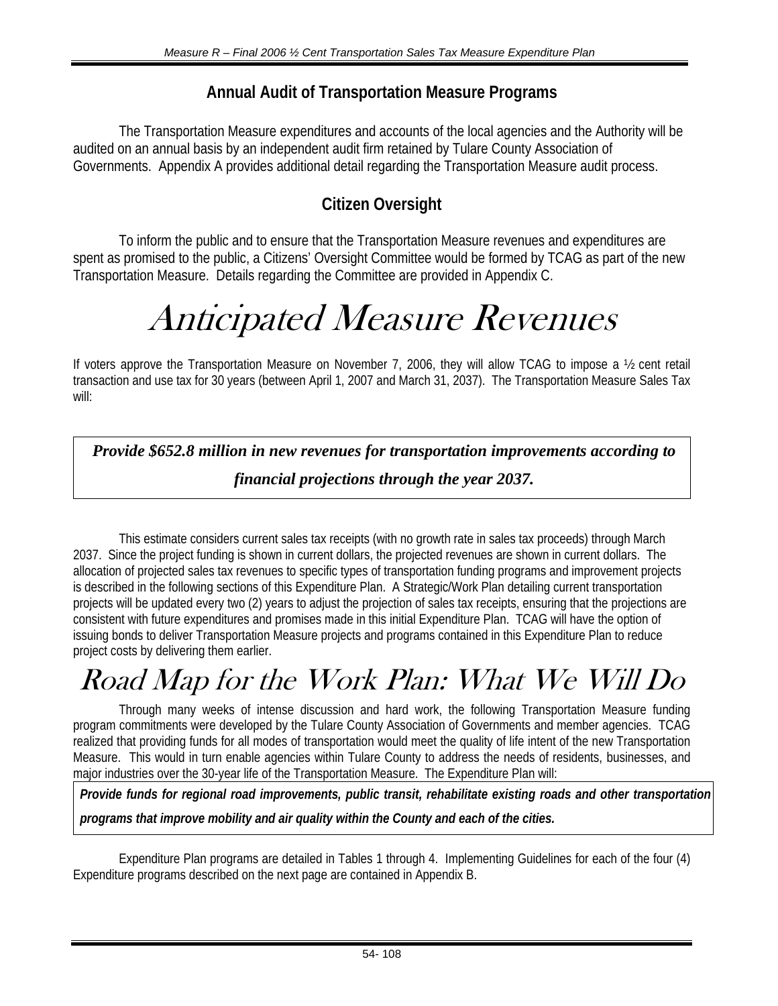# **Annual Audit of Transportation Measure Programs**

The Transportation Measure expenditures and accounts of the local agencies and the Authority will be audited on an annual basis by an independent audit firm retained by Tulare County Association of Governments. Appendix A provides additional detail regarding the Transportation Measure audit process.

# **Citizen Oversight**

To inform the public and to ensure that the Transportation Measure revenues and expenditures are spent as promised to the public, a Citizens' Oversight Committee would be formed by TCAG as part of the new Transportation Measure. Details regarding the Committee are provided in Appendix C.

# Anticipated Measure Revenues

If voters approve the Transportation Measure on November 7, 2006, they will allow TCAG to impose a ½ cent retail transaction and use tax for 30 years (between April 1, 2007 and March 31, 2037). The Transportation Measure Sales Tax will:

*Provide \$652.8 million in new revenues for transportation improvements according to financial projections through the year 2037.* 

This estimate considers current sales tax receipts (with no growth rate in sales tax proceeds) through March 2037. Since the project funding is shown in current dollars, the projected revenues are shown in current dollars. The allocation of projected sales tax revenues to specific types of transportation funding programs and improvement projects is described in the following sections of this Expenditure Plan. A Strategic/Work Plan detailing current transportation projects will be updated every two (2) years to adjust the projection of sales tax receipts, ensuring that the projections are consistent with future expenditures and promises made in this initial Expenditure Plan. TCAG will have the option of issuing bonds to deliver Transportation Measure projects and programs contained in this Expenditure Plan to reduce project costs by delivering them earlier.

# Road Map for the Work Plan: What We Will Do

Through many weeks of intense discussion and hard work, the following Transportation Measure funding program commitments were developed by the Tulare County Association of Governments and member agencies. TCAG realized that providing funds for all modes of transportation would meet the quality of life intent of the new Transportation Measure. This would in turn enable agencies within Tulare County to address the needs of residents, businesses, and major industries over the 30-year life of the Transportation Measure. The Expenditure Plan will:

*Provide funds for regional road improvements, public transit, rehabilitate existing roads and other transportation programs that improve mobility and air quality within the County and each of the cities.* 

 Expenditure Plan programs are detailed in Tables 1 through 4. Implementing Guidelines for each of the four (4) Expenditure programs described on the next page are contained in Appendix B.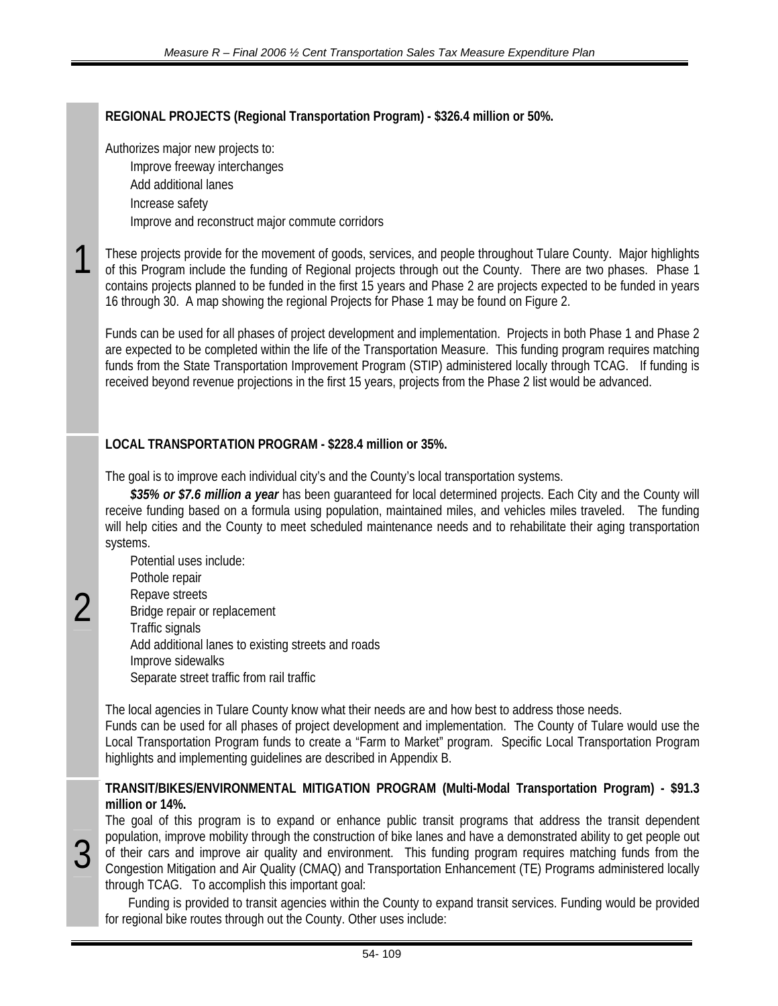# **REGIONAL PROJECTS (Regional Transportation Program) - \$326.4 million or 50%.**

Authorizes major new projects to:

Improve freeway interchanges

Add additional lanes

Increase safety

1

 $\overline{\mathcal{C}}$ 

3

Improve and reconstruct major commute corridors

These projects provide for the movement of goods, services, and people throughout Tulare County. Major highlights of this Program include the funding of Regional projects through out the County. There are two phases. Phase 1 contains projects planned to be funded in the first 15 years and Phase 2 are projects expected to be funded in years 16 through 30. A map showing the regional Projects for Phase 1 may be found on Figure 2.

Funds can be used for all phases of project development and implementation. Projects in both Phase 1 and Phase 2 are expected to be completed within the life of the Transportation Measure. This funding program requires matching funds from the State Transportation Improvement Program (STIP) administered locally through TCAG. If funding is received beyond revenue projections in the first 15 years, projects from the Phase 2 list would be advanced.

# **LOCAL TRANSPORTATION PROGRAM - \$228.4 million or 35%.**

The goal is to improve each individual city's and the County's local transportation systems.

*\$35% or \$7.6 million a year* has been guaranteed for local determined projects. Each City and the County will receive funding based on a formula using population, maintained miles, and vehicles miles traveled. The funding will help cities and the County to meet scheduled maintenance needs and to rehabilitate their aging transportation systems.

Potential uses include: Pothole repair Repave streets Bridge repair or replacement Traffic signals Add additional lanes to existing streets and roads Improve sidewalks Separate street traffic from rail traffic

The local agencies in Tulare County know what their needs are and how best to address those needs. Funds can be used for all phases of project development and implementation. The County of Tulare would use the Local Transportation Program funds to create a "Farm to Market" program. Specific Local Transportation Program highlights and implementing guidelines are described in Appendix B.

## **TRANSIT/BIKES/ENVIRONMENTAL MITIGATION PROGRAM (Multi-Modal Transportation Program) - \$91.3 million or 14%.**

The goal of this program is to expand or enhance public transit programs that address the transit dependent population, improve mobility through the construction of bike lanes and have a demonstrated ability to get people out of their cars and improve air quality and environment. This funding program requires matching funds from the Congestion Mitigation and Air Quality (CMAQ) and Transportation Enhancement (TE) Programs administered locally through TCAG. To accomplish this important goal:

Funding is provided to transit agencies within the County to expand transit services. Funding would be provided for regional bike routes through out the County. Other uses include: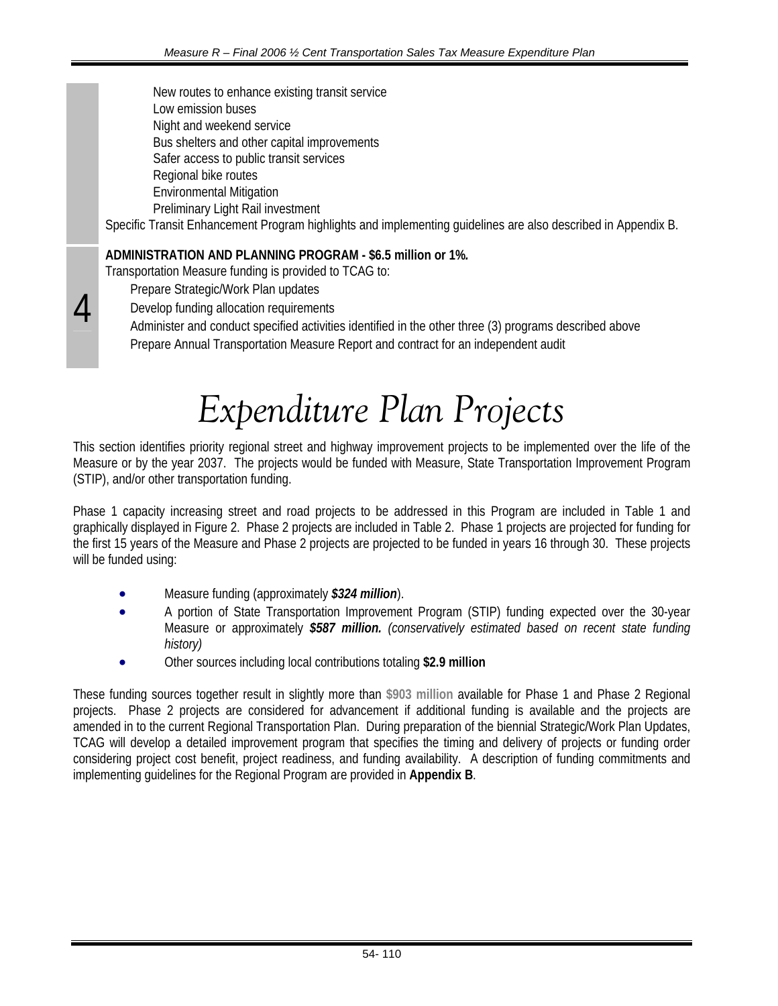New routes to enhance existing transit service Low emission buses Night and weekend service Bus shelters and other capital improvements Safer access to public transit services Regional bike routes Environmental Mitigation Preliminary Light Rail investment

Specific Transit Enhancement Program highlights and implementing guidelines are also described in Appendix B.

# **ADMINISTRATION AND PLANNING PROGRAM - \$6.5 million or 1%***.*

Transportation Measure funding is provided to TCAG to:

Prepare Strategic/Work Plan updates

4

Develop funding allocation requirements

Administer and conduct specified activities identified in the other three (3) programs described above Prepare Annual Transportation Measure Report and contract for an independent audit

# *Expenditure Plan Projects*

This section identifies priority regional street and highway improvement projects to be implemented over the life of the Measure or by the year 2037. The projects would be funded with Measure, State Transportation Improvement Program (STIP), and/or other transportation funding.

Phase 1 capacity increasing street and road projects to be addressed in this Program are included in Table 1 and graphically displayed in Figure 2. Phase 2 projects are included in Table 2. Phase 1 projects are projected for funding for the first 15 years of the Measure and Phase 2 projects are projected to be funded in years 16 through 30. These projects will be funded using:

- Measure funding (approximately *\$324 million*).
- A portion of State Transportation Improvement Program (STIP) funding expected over the 30-year Measure or approximately *\$587 million. (conservatively estimated based on recent state funding history)*
- Other sources including local contributions totaling **\$2.9 million**

These funding sources together result in slightly more than **\$903 million** available for Phase 1 and Phase 2 Regional projects. Phase 2 projects are considered for advancement if additional funding is available and the projects are amended in to the current Regional Transportation Plan. During preparation of the biennial Strategic/Work Plan Updates, TCAG will develop a detailed improvement program that specifies the timing and delivery of projects or funding order considering project cost benefit, project readiness, and funding availability. A description of funding commitments and implementing guidelines for the Regional Program are provided in **Appendix B**.

54- 110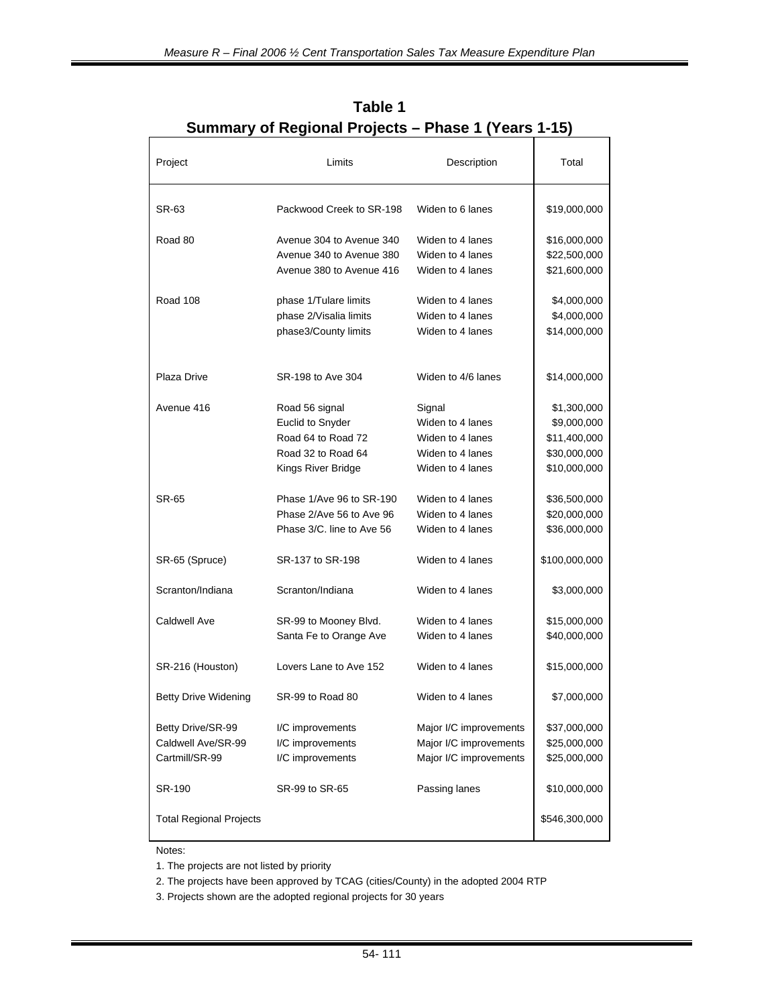| Project                        | Limits                    | Description            | Total         |
|--------------------------------|---------------------------|------------------------|---------------|
| SR-63                          | Packwood Creek to SR-198  | Widen to 6 lanes       | \$19,000,000  |
| Road 80                        | Avenue 304 to Avenue 340  | Widen to 4 lanes       | \$16,000,000  |
|                                | Avenue 340 to Avenue 380  | Widen to 4 lanes       | \$22,500,000  |
|                                | Avenue 380 to Avenue 416  | Widen to 4 lanes       | \$21,600,000  |
| <b>Road 108</b>                | phase 1/Tulare limits     | Widen to 4 lanes       | \$4,000,000   |
|                                | phase 2/Visalia limits    | Widen to 4 lanes       | \$4,000,000   |
|                                | phase3/County limits      | Widen to 4 lanes       | \$14,000,000  |
| Plaza Drive                    | SR-198 to Ave 304         | Widen to 4/6 lanes     | \$14,000,000  |
| Avenue 416                     | Road 56 signal            | Signal                 | \$1,300,000   |
|                                | <b>Euclid to Snyder</b>   | Widen to 4 lanes       | \$9,000,000   |
|                                | Road 64 to Road 72        | Widen to 4 lanes       | \$11,400,000  |
|                                | Road 32 to Road 64        | Widen to 4 lanes       | \$30,000,000  |
|                                | Kings River Bridge        | Widen to 4 lanes       | \$10,000,000  |
| SR-65                          | Phase 1/Ave 96 to SR-190  | Widen to 4 lanes       | \$36,500,000  |
|                                | Phase 2/Ave 56 to Ave 96  | Widen to 4 lanes       | \$20,000,000  |
|                                | Phase 3/C, line to Ave 56 | Widen to 4 lanes       | \$36,000,000  |
| SR-65 (Spruce)                 | SR-137 to SR-198          | Widen to 4 lanes       | \$100,000,000 |
| Scranton/Indiana               | Scranton/Indiana          | Widen to 4 lanes       | \$3,000,000   |
| <b>Caldwell Ave</b>            | SR-99 to Mooney Blvd.     | Widen to 4 lanes       | \$15,000,000  |
|                                | Santa Fe to Orange Ave    | Widen to 4 lanes       | \$40,000,000  |
| SR-216 (Houston)               | Lovers Lane to Ave 152    | Widen to 4 lanes       | \$15,000,000  |
| <b>Betty Drive Widening</b>    | SR-99 to Road 80          | Widen to 4 lanes       | \$7,000,000   |
| Betty Drive/SR-99              | I/C improvements          | Major I/C improvements | \$37,000,000  |
| Caldwell Ave/SR-99             | I/C improvements          | Major I/C improvements | \$25,000,000  |
| Cartmill/SR-99                 | I/C improvements          | Major I/C improvements | \$25,000,000  |
| SR-190                         | SR-99 to SR-65            | Passing lanes          | \$10,000,000  |
| <b>Total Regional Projects</b> |                           |                        | \$546,300,000 |

**Table 1 Summary of Regional Projects – Phase 1 (Years 1-15)** 

Notes:

1. The projects are not listed by priority

2. The projects have been approved by TCAG (cities/County) in the adopted 2004 RTP

3. Projects shown are the adopted regional projects for 30 years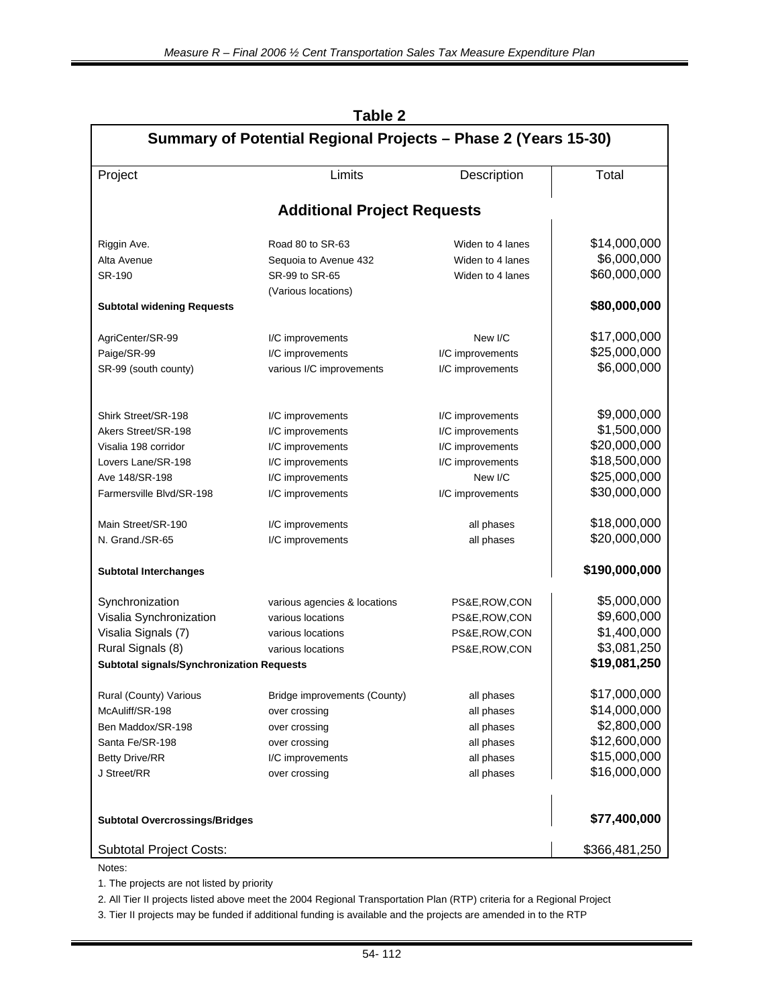| Summary of Potential Regional Projects - Phase 2 (Years 15-30) |                                      |                                      |               |  |
|----------------------------------------------------------------|--------------------------------------|--------------------------------------|---------------|--|
| Project                                                        | Limits                               | Description                          | Total         |  |
|                                                                | <b>Additional Project Requests</b>   |                                      |               |  |
| Riggin Ave.                                                    | Road 80 to SR-63                     | Widen to 4 lanes                     | \$14,000,000  |  |
| Alta Avenue                                                    | Sequoia to Avenue 432                | Widen to 4 lanes                     | \$6,000,000   |  |
| SR-190                                                         | SR-99 to SR-65                       | Widen to 4 lanes                     | \$60,000,000  |  |
|                                                                | (Various locations)                  |                                      |               |  |
| <b>Subtotal widening Requests</b>                              |                                      |                                      | \$80,000,000  |  |
| AgriCenter/SR-99                                               | I/C improvements                     | New I/C                              | \$17,000,000  |  |
| Paige/SR-99                                                    | I/C improvements                     | I/C improvements                     | \$25,000,000  |  |
| SR-99 (south county)                                           | various I/C improvements             | I/C improvements                     | \$6,000,000   |  |
| Shirk Street/SR-198                                            |                                      |                                      | \$9,000,000   |  |
| Akers Street/SR-198                                            | I/C improvements                     | I/C improvements                     | \$1,500,000   |  |
| Visalia 198 corridor                                           | I/C improvements<br>I/C improvements | I/C improvements<br>I/C improvements | \$20,000,000  |  |
| Lovers Lane/SR-198                                             | I/C improvements                     | I/C improvements                     | \$18,500,000  |  |
| Ave 148/SR-198                                                 | I/C improvements                     | New I/C                              | \$25,000,000  |  |
| Farmersville Blvd/SR-198                                       | I/C improvements                     | I/C improvements                     | \$30,000,000  |  |
|                                                                |                                      |                                      |               |  |
| Main Street/SR-190                                             | I/C improvements                     | all phases                           | \$18,000,000  |  |
| N. Grand./SR-65                                                | I/C improvements                     | all phases                           | \$20,000,000  |  |
| <b>Subtotal Interchanges</b>                                   |                                      | \$190,000,000                        |               |  |
| Synchronization                                                | various agencies & locations         | PS&E, ROW, CON                       | \$5,000,000   |  |
| Visalia Synchronization                                        | various locations                    | PS&E,ROW,CON                         | \$9,600,000   |  |
| Visalia Signals (7)                                            | various locations                    | PS&E,ROW,CON                         | \$1,400,000   |  |
| Rural Signals (8)                                              | various locations                    | PS&E,ROW,CON                         | \$3,081,250   |  |
| <b>Subtotal signals/Synchronization Requests</b>               |                                      |                                      | \$19,081,250  |  |
| Rural (County) Various                                         | Bridge improvements (County)         | all phases                           | \$17,000,000  |  |
| McAuliff/SR-198                                                | over crossing                        | all phases                           | \$14,000,000  |  |
| Ben Maddox/SR-198                                              | over crossing                        | all phases                           | \$2,800,000   |  |
| Santa Fe/SR-198                                                | over crossing                        | all phases                           | \$12,600,000  |  |
| <b>Betty Drive/RR</b>                                          | I/C improvements                     | all phases                           | \$15,000,000  |  |
| J Street/RR                                                    | over crossing                        | all phases                           | \$16,000,000  |  |
|                                                                |                                      |                                      |               |  |
| <b>Subtotal Overcrossings/Bridges</b>                          |                                      |                                      | \$77,400,000  |  |
| <b>Subtotal Project Costs:</b>                                 |                                      |                                      | \$366,481,250 |  |
| Notes:                                                         |                                      |                                      |               |  |

# **Table 2**

1. The projects are not listed by priority

2. All Tier II projects listed above meet the 2004 Regional Transportation Plan (RTP) criteria for a Regional Project

3. Tier II projects may be funded if additional funding is available and the projects are amended in to the RTP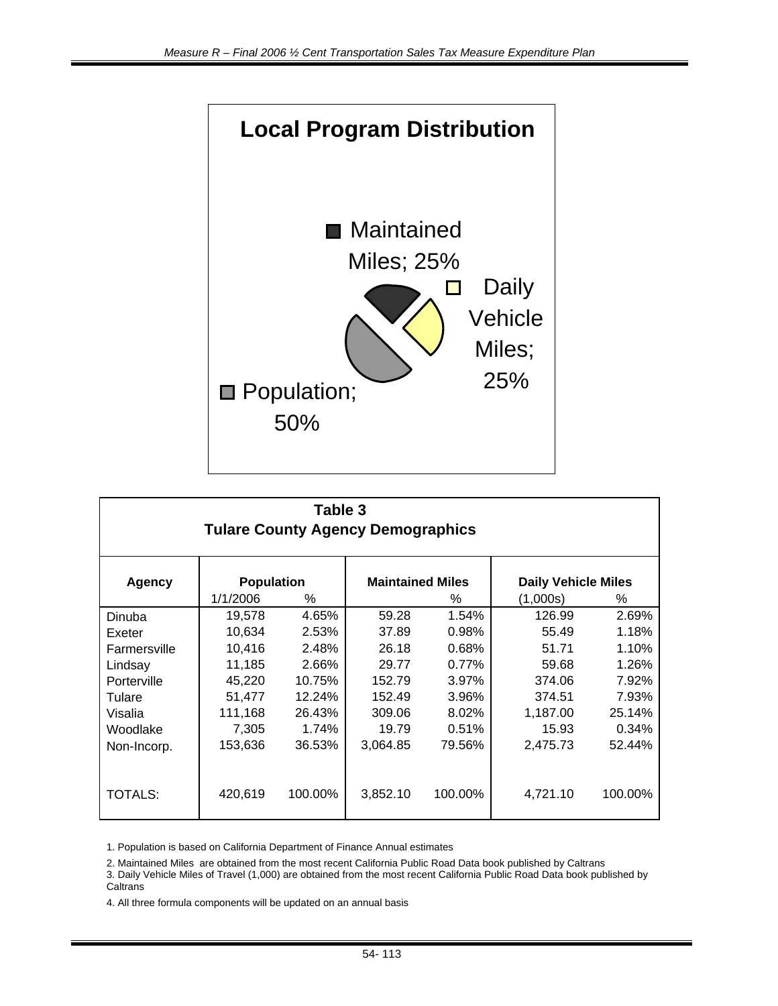

| Table 3<br><b>Tulare County Agency Demographics</b> |                   |         |                         |          |          |                            |  |  |
|-----------------------------------------------------|-------------------|---------|-------------------------|----------|----------|----------------------------|--|--|
| <b>Agency</b>                                       | <b>Population</b> |         | <b>Maintained Miles</b> |          |          | <b>Daily Vehicle Miles</b> |  |  |
|                                                     | 1/1/2006          | ℅       |                         | %        | (1,000s) | %                          |  |  |
| Dinuba                                              | 19,578            | 4.65%   | 59.28                   | 1.54%    | 126.99   | 2.69%                      |  |  |
| Exeter                                              | 10,634            | 2.53%   | 37.89                   | 0.98%    | 55.49    | 1.18%                      |  |  |
| Farmersville                                        | 10,416            | 2.48%   | 26.18                   | 0.68%    | 51.71    | 1.10%                      |  |  |
| Lindsay                                             | 11,185            | 2.66%   | 29.77                   | $0.77\%$ | 59.68    | 1.26%                      |  |  |
| Porterville                                         | 45,220            | 10.75%  | 152.79                  | 3.97%    | 374.06   | 7.92%                      |  |  |
| Tulare                                              | 51,477            | 12.24%  | 152.49                  | 3.96%    | 374.51   | 7.93%                      |  |  |
| Visalia                                             | 111,168           | 26.43%  | 309.06                  | 8.02%    | 1,187.00 | 25.14%                     |  |  |
| Woodlake                                            | 7,305             | 1.74%   | 19.79                   | 0.51%    | 15.93    | 0.34%                      |  |  |
| Non-Incorp.                                         | 153,636           | 36.53%  | 3,064.85                | 79.56%   | 2,475.73 | 52.44%                     |  |  |
| <b>TOTALS:</b>                                      | 420,619           | 100.00% | 3,852.10                | 100.00%  | 4,721.10 | 100.00%                    |  |  |

1. Population is based on California Department of Finance Annual estimates

2. Maintained Miles are obtained from the most recent California Public Road Data book published by Caltrans

3. Daily Vehicle Miles of Travel (1,000) are obtained from the most recent California Public Road Data book published by **Caltrans** 

4. All three formula components will be updated on an annual basis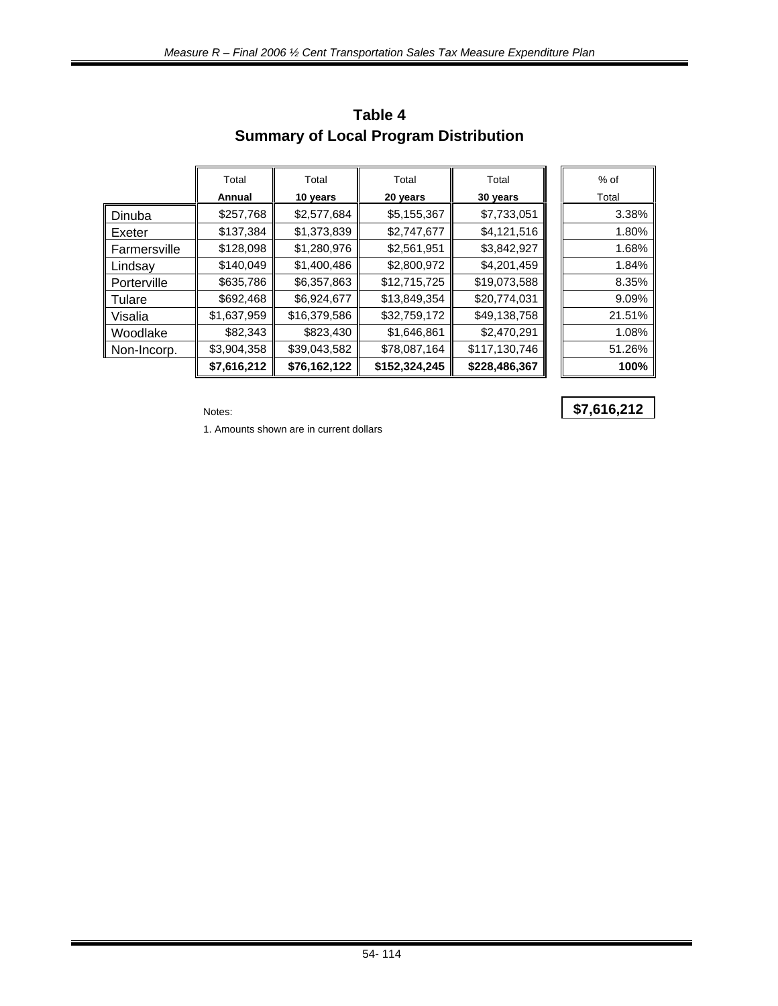|                 | Total       | Total        | Total         | Total         | $%$ of |
|-----------------|-------------|--------------|---------------|---------------|--------|
|                 | Annual      | 10 years     | 20 years      | 30 years      | Total  |
| Dinuba          | \$257,768   | \$2,577,684  | \$5,155,367   | \$7,733,051   | 3.38%  |
| ll Exeter       | \$137,384   | \$1,373,839  | \$2,747,677   | \$4,121,516   | 1.80%  |
| ll Farmersville | \$128,098   | \$1,280,976  | \$2,561,951   | \$3,842,927   | 1.68%  |
| Lindsay         | \$140,049   | \$1,400,486  | \$2,800,972   | \$4,201,459   | 1.84%  |
| ll Porterville  | \$635,786   | \$6,357,863  | \$12,715,725  | \$19,073,588  | 8.35%  |
| ll Tulare       | \$692,468   | \$6,924,677  | \$13,849,354  | \$20,774,031  | 9.09%  |
| ∥ Visalia       | \$1,637,959 | \$16,379,586 | \$32,759,172  | \$49,138,758  | 21.51% |
| ∥ Woodlake      | \$82,343    | \$823,430    | \$1,646,861   | \$2,470,291   | 1.08%  |
| Non-Incorp.     | \$3,904,358 | \$39,043,582 | \$78,087,164  | \$117,130,746 | 51.26% |
|                 | \$7,616,212 | \$76,162,122 | \$152,324,245 | \$228,486,367 | 100%   |

# **Table 4 Summary of Local Program Distribution**

1. Amounts shown are in current dollars

# Notes: **\$7,616,212**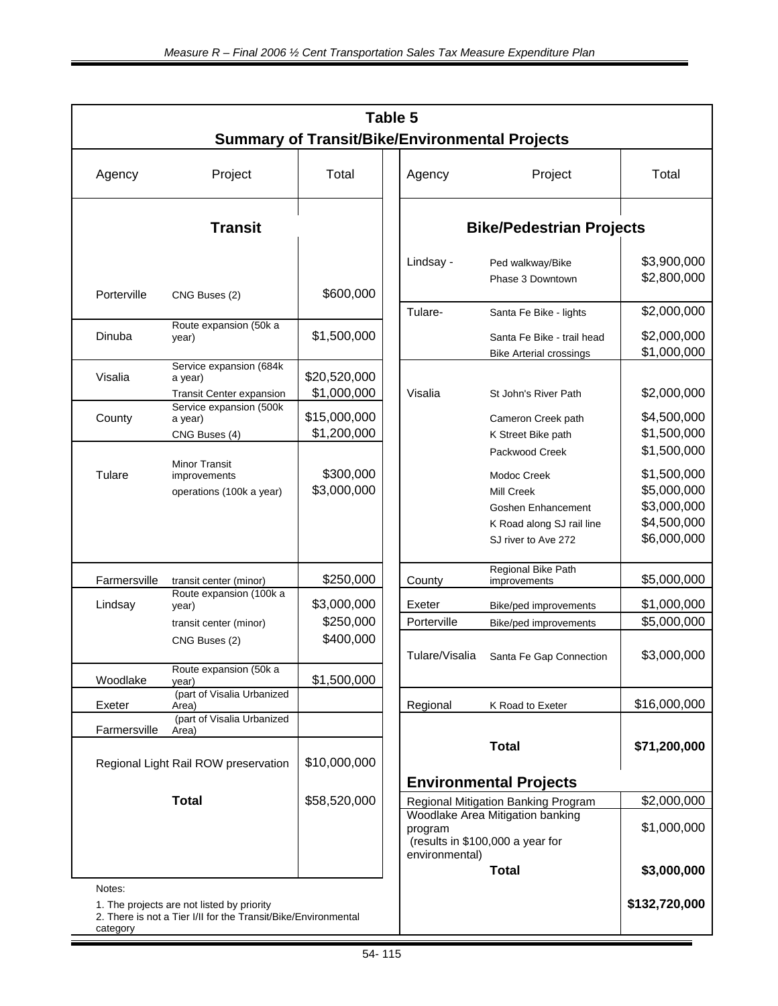|                        | Table 5<br><b>Summary of Transit/Bike/Environmental Projects</b>                                             |                                       |  |                                         |                                                                                                                                              |                                                                                        |  |
|------------------------|--------------------------------------------------------------------------------------------------------------|---------------------------------------|--|-----------------------------------------|----------------------------------------------------------------------------------------------------------------------------------------------|----------------------------------------------------------------------------------------|--|
| Agency                 | Project                                                                                                      | Total                                 |  | Agency                                  | Project                                                                                                                                      | Total                                                                                  |  |
|                        | <b>Transit</b>                                                                                               |                                       |  |                                         | <b>Bike/Pedestrian Projects</b>                                                                                                              |                                                                                        |  |
| Porterville            | CNG Buses (2)                                                                                                | \$600,000                             |  | Lindsay -                               | Ped walkway/Bike<br>Phase 3 Downtown                                                                                                         | \$3,900,000<br>\$2,800,000                                                             |  |
| Dinuba                 | Route expansion (50k a<br>year)                                                                              | \$1,500,000                           |  | Tulare-                                 | Santa Fe Bike - lights<br>Santa Fe Bike - trail head<br><b>Bike Arterial crossings</b>                                                       | \$2,000,000<br>\$2,000,000<br>\$1,000,000                                              |  |
| Visalia                | Service expansion (684k<br>a year)<br>Transit Center expansion                                               | \$20,520,000<br>\$1,000,000           |  | Visalia                                 | St John's River Path                                                                                                                         | \$2,000,000                                                                            |  |
| County                 | Service expansion (500k<br>a year)<br>CNG Buses (4)                                                          | \$15,000,000<br>\$1,200,000           |  |                                         | Cameron Creek path<br>K Street Bike path                                                                                                     | \$4,500,000<br>\$1,500,000                                                             |  |
| Tulare                 | <b>Minor Transit</b><br>improvements<br>operations (100k a year)                                             | \$300,000<br>\$3,000,000              |  |                                         | Packwood Creek<br>Modoc Creek<br>Mill Creek<br>Goshen Enhancement<br>K Road along SJ rail line<br>SJ river to Ave 272                        | \$1,500,000<br>\$1,500,000<br>\$5,000,000<br>\$3,000,000<br>\$4,500,000<br>\$6,000,000 |  |
| Farmersville           | transit center (minor)                                                                                       | \$250,000                             |  | County                                  | Regional Bike Path<br>improvements                                                                                                           | \$5,000,000                                                                            |  |
| Lindsay                | Route expansion (100k a<br>year)<br>transit center (minor)<br>CNG Buses (2)                                  | \$3,000,000<br>\$250,000<br>\$400,000 |  | Exeter<br>Porterville<br>Tulare/Visalia | Bike/ped improvements<br>Bike/ped improvements<br>Santa Fe Gap Connection                                                                    | \$1,000,000<br>\$5,000,000<br>\$3,000,000                                              |  |
| Woodlake               | Route expansion (50k a<br>year)                                                                              | \$1,500,000                           |  |                                         |                                                                                                                                              |                                                                                        |  |
| Exeter<br>Farmersville | (part of Visalia Urbanized<br>Area)<br>(part of Visalia Urbanized<br>Area)                                   |                                       |  | Regional                                | K Road to Exeter                                                                                                                             | \$16,000,000                                                                           |  |
|                        | Regional Light Rail ROW preservation                                                                         | \$10,000,000                          |  |                                         | <b>Total</b>                                                                                                                                 | \$71,200,000                                                                           |  |
|                        | <b>Total</b>                                                                                                 | \$58,520,000                          |  | program<br>environmental)               | <b>Environmental Projects</b><br>Regional Mitigation Banking Program<br>Woodlake Area Mitigation banking<br>(results in \$100,000 a year for | \$2,000,000<br>\$1,000,000                                                             |  |
| Notes:                 | 1. The projects are not listed by priority<br>2. There is not a Tier I/II for the Transit/Bike/Environmental |                                       |  |                                         | <b>Total</b>                                                                                                                                 | \$3,000,000<br>\$132,720,000                                                           |  |

category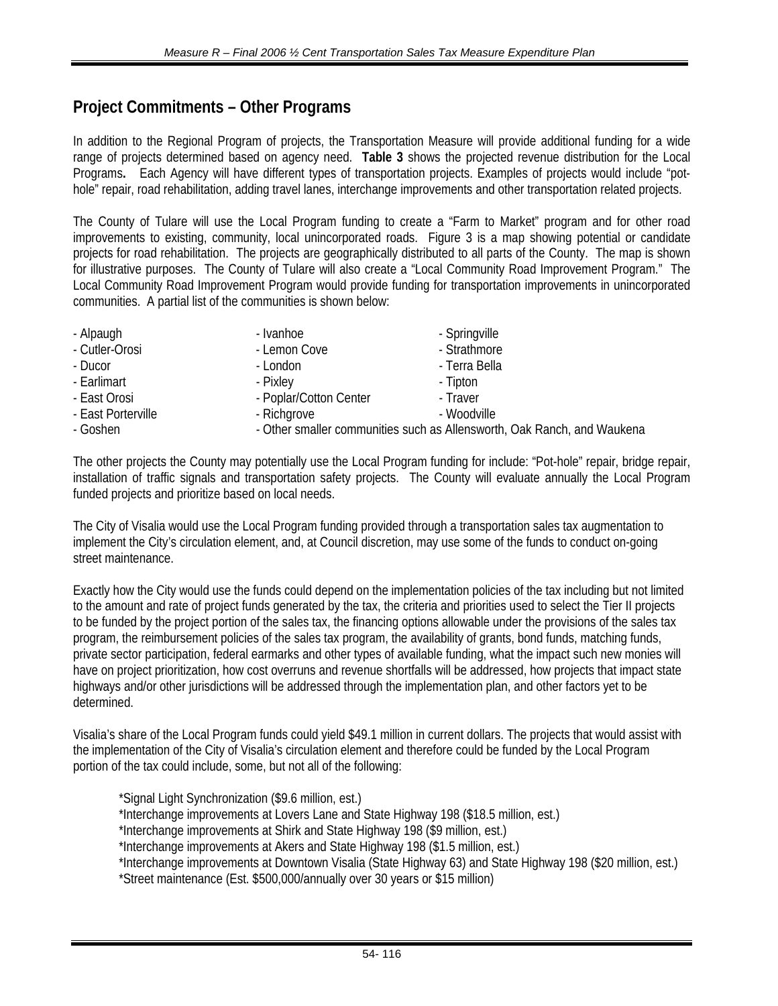# **Project Commitments – Other Programs**

In addition to the Regional Program of projects, the Transportation Measure will provide additional funding for a wide range of projects determined based on agency need. **Table 3** shows the projected revenue distribution for the Local Programs. Each Agency will have different types of transportation projects. Examples of projects would include "pothole" repair, road rehabilitation, adding travel lanes, interchange improvements and other transportation related projects.

The County of Tulare will use the Local Program funding to create a "Farm to Market" program and for other road improvements to existing, community, local unincorporated roads. Figure 3 is a map showing potential or candidate projects for road rehabilitation. The projects are geographically distributed to all parts of the County. The map is shown for illustrative purposes. The County of Tulare will also create a "Local Community Road Improvement Program." The Local Community Road Improvement Program would provide funding for transportation improvements in unincorporated communities. A partial list of the communities is shown below:

| - Alpaugh          | - Ivanhoe              | - Springville                                                           |  |
|--------------------|------------------------|-------------------------------------------------------------------------|--|
| - Cutler-Orosi     | - Lemon Cove           | - Strathmore                                                            |  |
| - Ducor            | - London               | - Terra Bella                                                           |  |
| - Earlimart        | - Pixley               | - Tipton                                                                |  |
| - East Orosi       | - Poplar/Cotton Center | - Traver                                                                |  |
| - East Porterville | - Richgrove            | - Woodville                                                             |  |
| - Goshen           |                        | - Other smaller communities such as Allensworth, Oak Ranch, and Waukena |  |

The other projects the County may potentially use the Local Program funding for include: "Pot-hole" repair, bridge repair, installation of traffic signals and transportation safety projects. The County will evaluate annually the Local Program funded projects and prioritize based on local needs.

The City of Visalia would use the Local Program funding provided through a transportation sales tax augmentation to implement the City's circulation element, and, at Council discretion, may use some of the funds to conduct on-going street maintenance.

Exactly how the City would use the funds could depend on the implementation policies of the tax including but not limited to the amount and rate of project funds generated by the tax, the criteria and priorities used to select the Tier II projects to be funded by the project portion of the sales tax, the financing options allowable under the provisions of the sales tax program, the reimbursement policies of the sales tax program, the availability of grants, bond funds, matching funds, private sector participation, federal earmarks and other types of available funding, what the impact such new monies will have on project prioritization, how cost overruns and revenue shortfalls will be addressed, how projects that impact state highways and/or other jurisdictions will be addressed through the implementation plan, and other factors yet to be determined.

Visalia's share of the Local Program funds could yield \$49.1 million in current dollars. The projects that would assist with the implementation of the City of Visalia's circulation element and therefore could be funded by the Local Program portion of the tax could include, some, but not all of the following:

\*Signal Light Synchronization (\$9.6 million, est.)

\*Interchange improvements at Lovers Lane and State Highway 198 (\$18.5 million, est.)

\*Interchange improvements at Shirk and State Highway 198 (\$9 million, est.)

\*Interchange improvements at Akers and State Highway 198 (\$1.5 million, est.)

\*Interchange improvements at Downtown Visalia (State Highway 63) and State Highway 198 (\$20 million, est.) \*Street maintenance (Est. \$500,000/annually over 30 years or \$15 million)

54- 116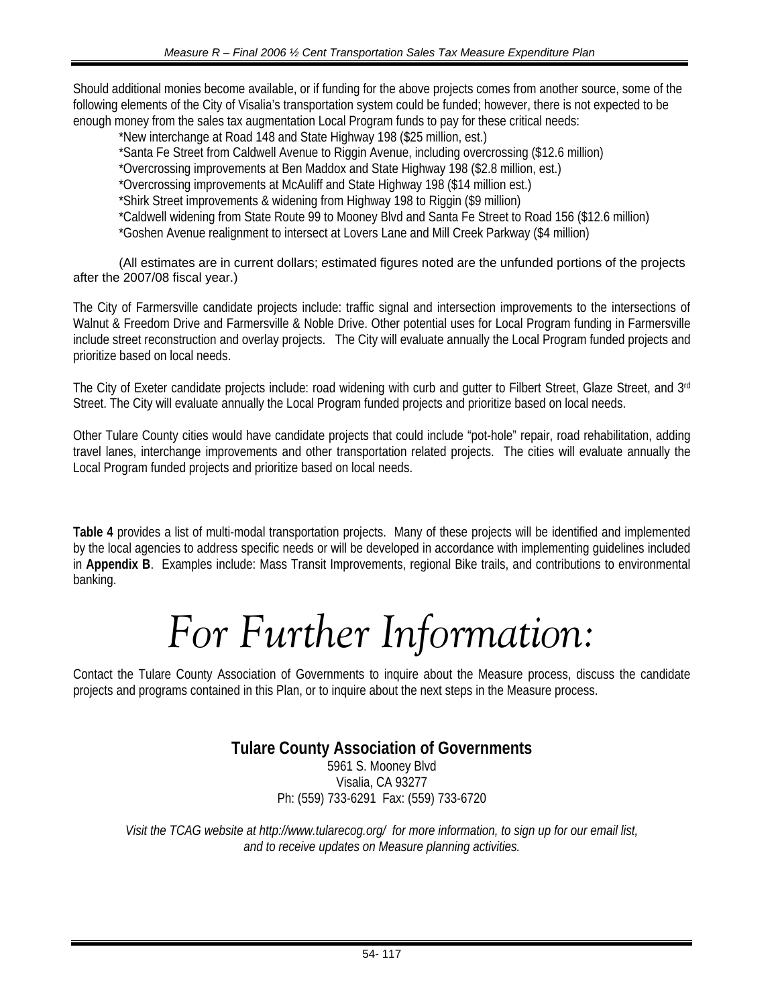Should additional monies become available, or if funding for the above projects comes from another source, some of the following elements of the City of Visalia's transportation system could be funded; however, there is not expected to be enough money from the sales tax augmentation Local Program funds to pay for these critical needs:

\*New interchange at Road 148 and State Highway 198 (\$25 million, est.) \*Santa Fe Street from Caldwell Avenue to Riggin Avenue, including overcrossing (\$12.6 million) \*Overcrossing improvements at Ben Maddox and State Highway 198 (\$2.8 million, est.) \*Overcrossing improvements at McAuliff and State Highway 198 (\$14 million est.)

\*Shirk Street improvements & widening from Highway 198 to Riggin (\$9 million)

\*Caldwell widening from State Route 99 to Mooney Blvd and Santa Fe Street to Road 156 (\$12.6 million)

\*Goshen Avenue realignment to intersect at Lovers Lane and Mill Creek Parkway (\$4 million)

(All estimates are in current dollars; *e*stimated figures noted are the unfunded portions of the projects after the 2007/08 fiscal year.)

The City of Farmersville candidate projects include: traffic signal and intersection improvements to the intersections of Walnut & Freedom Drive and Farmersville & Noble Drive. Other potential uses for Local Program funding in Farmersville include street reconstruction and overlay projects. The City will evaluate annually the Local Program funded projects and prioritize based on local needs.

The City of Exeter candidate projects include: road widening with curb and gutter to Filbert Street, Glaze Street, and 3rd Street. The City will evaluate annually the Local Program funded projects and prioritize based on local needs.

Other Tulare County cities would have candidate projects that could include "pot-hole" repair, road rehabilitation, adding travel lanes, interchange improvements and other transportation related projects. The cities will evaluate annually the Local Program funded projects and prioritize based on local needs.

**Table 4** provides a list of multi-modal transportation projects. Many of these projects will be identified and implemented by the local agencies to address specific needs or will be developed in accordance with implementing guidelines included in **Appendix B**. Examples include: Mass Transit Improvements, regional Bike trails, and contributions to environmental banking.

# *For Further Information:*

Contact the Tulare County Association of Governments to inquire about the Measure process, discuss the candidate projects and programs contained in this Plan, or to inquire about the next steps in the Measure process.

# **Tulare County Association of Governments**

5961 S. Mooney Blvd Visalia, CA 93277 Ph: (559) 733-6291 Fax: (559) 733-6720

*Visit the TCAG website at http://www.tularecog.org/ for more information, to sign up for our email list, and to receive updates on Measure planning activities.*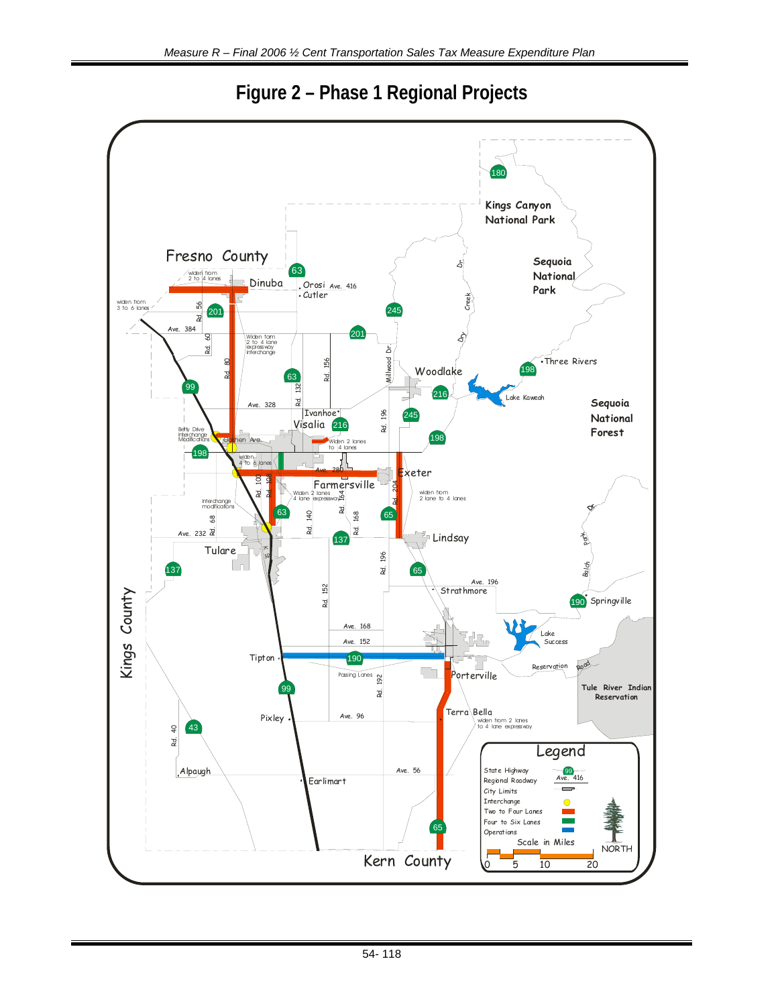

**Figure 2 – Phase 1 Regional Projects**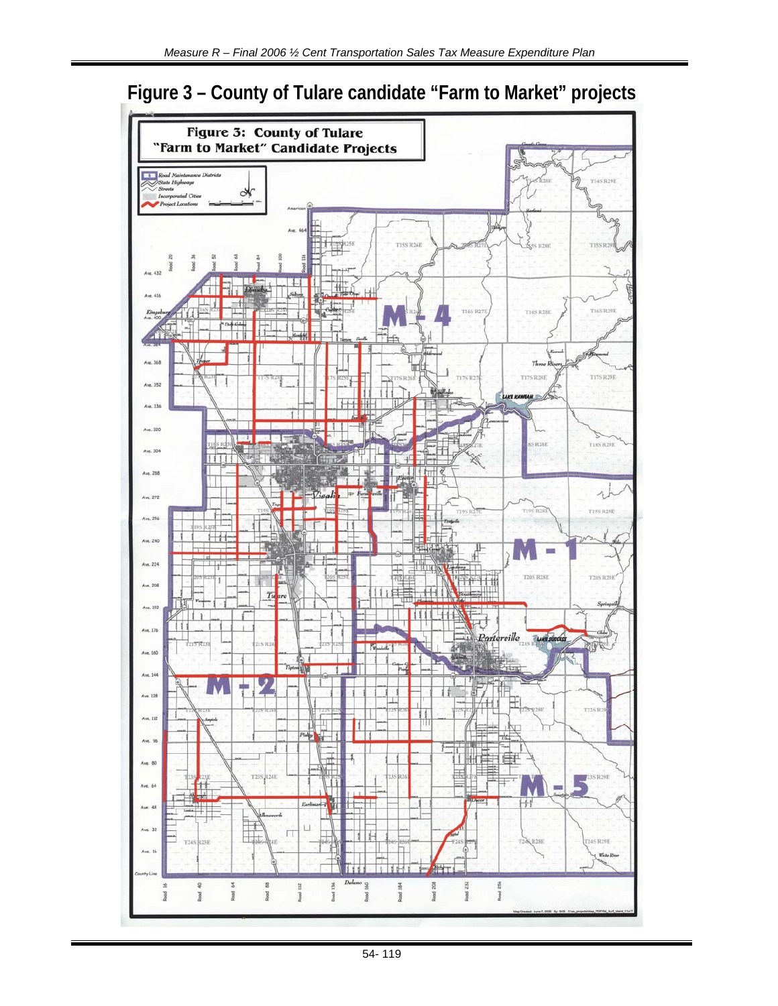# **Figure 3 – County of Tulare candidate "Farm to Market" projects**

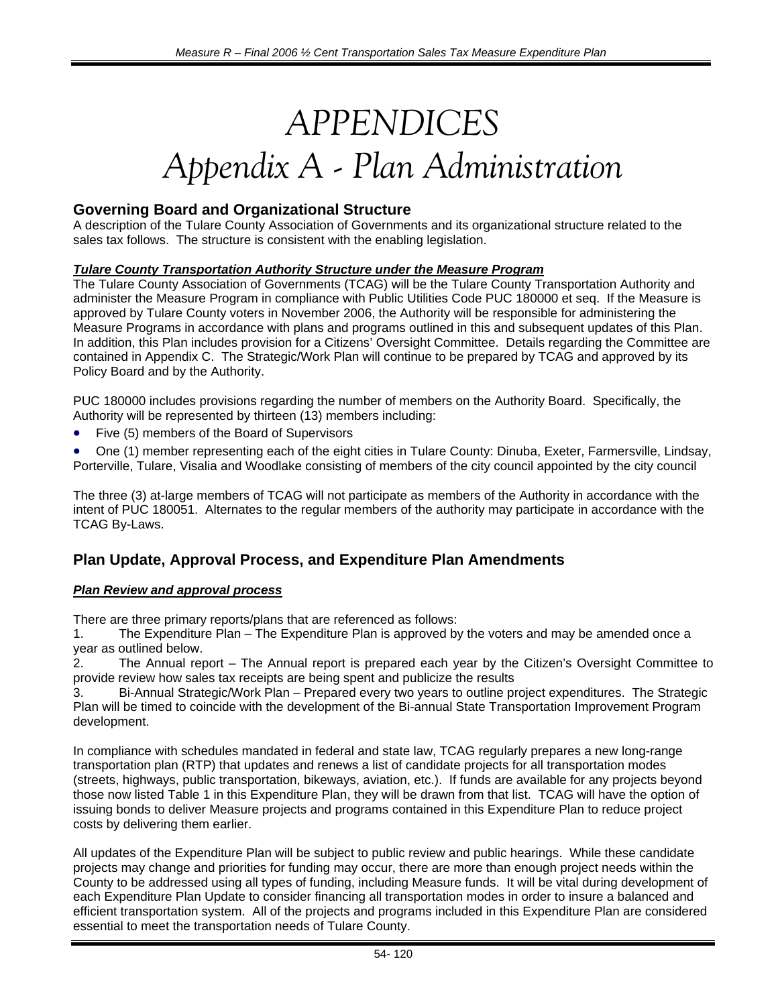# *APPENDICES Appendix A - Plan Administration*

## **Governing Board and Organizational Structure**

A description of the Tulare County Association of Governments and its organizational structure related to the sales tax follows. The structure is consistent with the enabling legislation.

### *Tulare County Transportation Authority Structure under the Measure Program*

The Tulare County Association of Governments (TCAG) will be the Tulare County Transportation Authority and administer the Measure Program in compliance with Public Utilities Code PUC 180000 et seq. If the Measure is approved by Tulare County voters in November 2006, the Authority will be responsible for administering the Measure Programs in accordance with plans and programs outlined in this and subsequent updates of this Plan. In addition, this Plan includes provision for a Citizens' Oversight Committee. Details regarding the Committee are contained in Appendix C. The Strategic/Work Plan will continue to be prepared by TCAG and approved by its Policy Board and by the Authority.

PUC 180000 includes provisions regarding the number of members on the Authority Board. Specifically, the Authority will be represented by thirteen (13) members including:

• Five (5) members of the Board of Supervisors

• One (1) member representing each of the eight cities in Tulare County: Dinuba, Exeter, Farmersville, Lindsay, Porterville, Tulare, Visalia and Woodlake consisting of members of the city council appointed by the city council

The three (3) at-large members of TCAG will not participate as members of the Authority in accordance with the intent of PUC 180051. Alternates to the regular members of the authority may participate in accordance with the TCAG By-Laws.

# **Plan Update, Approval Process, and Expenditure Plan Amendments**

## *Plan Review and approval process*

There are three primary reports/plans that are referenced as follows:

1. The Expenditure Plan – The Expenditure Plan is approved by the voters and may be amended once a year as outlined below.

2. The Annual report – The Annual report is prepared each year by the Citizen's Oversight Committee to provide review how sales tax receipts are being spent and publicize the results

3. Bi-Annual Strategic/Work Plan – Prepared every two years to outline project expenditures. The Strategic Plan will be timed to coincide with the development of the Bi-annual State Transportation Improvement Program development.

In compliance with schedules mandated in federal and state law, TCAG regularly prepares a new long-range transportation plan (RTP) that updates and renews a list of candidate projects for all transportation modes (streets, highways, public transportation, bikeways, aviation, etc.). If funds are available for any projects beyond those now listed Table 1 in this Expenditure Plan, they will be drawn from that list. TCAG will have the option of issuing bonds to deliver Measure projects and programs contained in this Expenditure Plan to reduce project costs by delivering them earlier.

All updates of the Expenditure Plan will be subject to public review and public hearings. While these candidate projects may change and priorities for funding may occur, there are more than enough project needs within the County to be addressed using all types of funding, including Measure funds. It will be vital during development of each Expenditure Plan Update to consider financing all transportation modes in order to insure a balanced and efficient transportation system. All of the projects and programs included in this Expenditure Plan are considered essential to meet the transportation needs of Tulare County.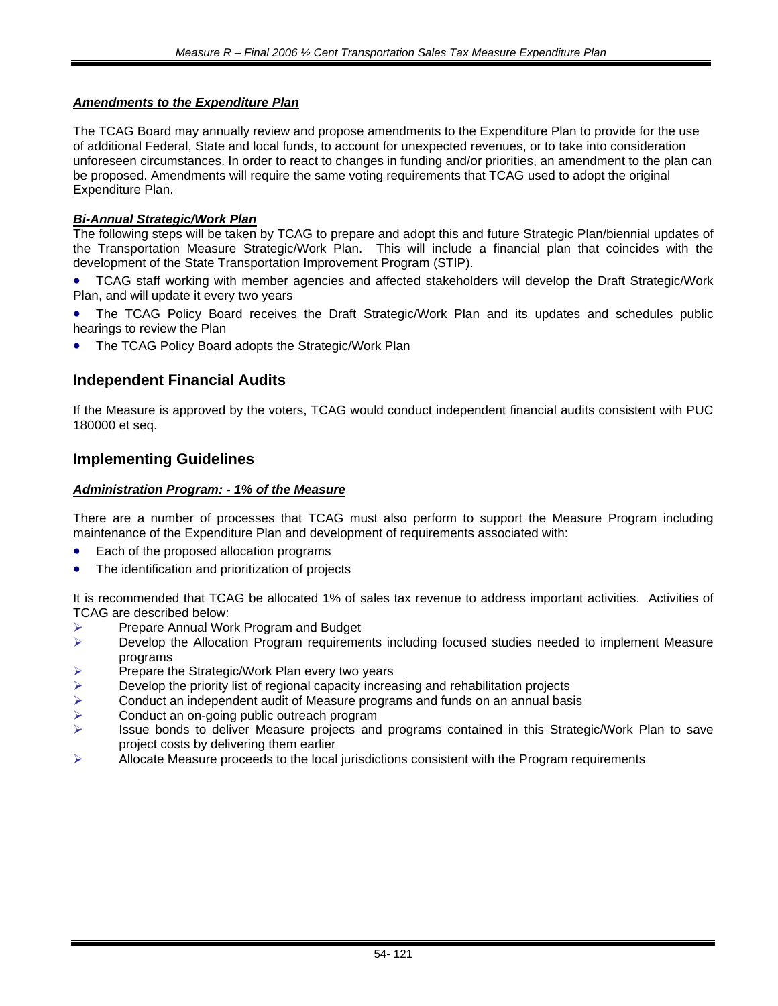### *Amendments to the Expenditure Plan*

The TCAG Board may annually review and propose amendments to the Expenditure Plan to provide for the use of additional Federal, State and local funds, to account for unexpected revenues, or to take into consideration unforeseen circumstances. In order to react to changes in funding and/or priorities, an amendment to the plan can be proposed. Amendments will require the same voting requirements that TCAG used to adopt the original Expenditure Plan.

### *Bi-Annual Strategic/Work Plan*

The following steps will be taken by TCAG to prepare and adopt this and future Strategic Plan/biennial updates of the Transportation Measure Strategic/Work Plan. This will include a financial plan that coincides with the development of the State Transportation Improvement Program (STIP).

• TCAG staff working with member agencies and affected stakeholders will develop the Draft Strategic/Work Plan, and will update it every two years

The TCAG Policy Board receives the Draft Strategic/Work Plan and its updates and schedules public hearings to review the Plan

The TCAG Policy Board adopts the Strategic/Work Plan

## **Independent Financial Audits**

If the Measure is approved by the voters, TCAG would conduct independent financial audits consistent with PUC 180000 et seq.

### **Implementing Guidelines**

#### *Administration Program: - 1% of the Measure*

There are a number of processes that TCAG must also perform to support the Measure Program including maintenance of the Expenditure Plan and development of requirements associated with:

- Each of the proposed allocation programs
- The identification and prioritization of projects

It is recommended that TCAG be allocated 1% of sales tax revenue to address important activities. Activities of TCAG are described below:

- ¾ Prepare Annual Work Program and Budget
- ¾ Develop the Allocation Program requirements including focused studies needed to implement Measure programs
- $\triangleright$  Prepare the Strategic/Work Plan every two years
- $\triangleright$  Develop the priority list of regional capacity increasing and rehabilitation projects  $\triangleright$  Conduct an independent audit of Measure programs and funds on an annual bas
- ¾ Conduct an independent audit of Measure programs and funds on an annual basis
- **EXECONDUCT AN ORGAN PROPER FOR A CONDUCT A**<br>
EXECT: ISSUE bonds to deliver Measure projects and
- Issue bonds to deliver Measure projects and programs contained in this Strategic/Work Plan to save project costs by delivering them earlier
- $\triangleright$  Allocate Measure proceeds to the local jurisdictions consistent with the Program requirements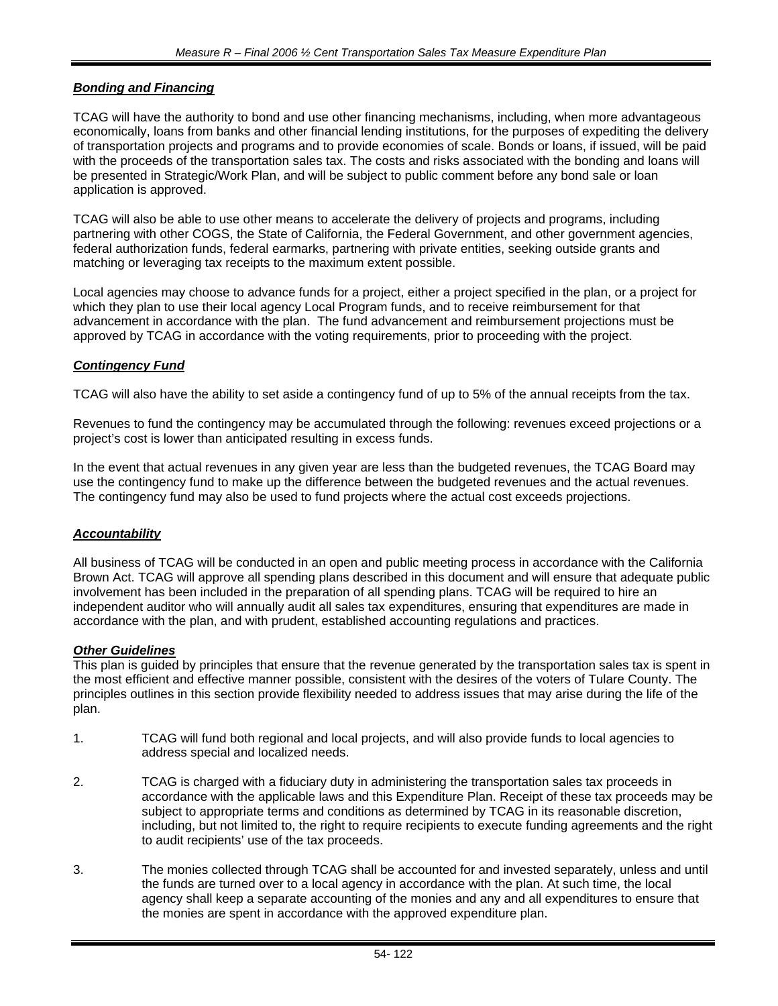### *Bonding and Financing*

TCAG will have the authority to bond and use other financing mechanisms, including, when more advantageous economically, loans from banks and other financial lending institutions, for the purposes of expediting the delivery of transportation projects and programs and to provide economies of scale. Bonds or loans, if issued, will be paid with the proceeds of the transportation sales tax. The costs and risks associated with the bonding and loans will be presented in Strategic/Work Plan, and will be subject to public comment before any bond sale or loan application is approved.

TCAG will also be able to use other means to accelerate the delivery of projects and programs, including partnering with other COGS, the State of California, the Federal Government, and other government agencies, federal authorization funds, federal earmarks, partnering with private entities, seeking outside grants and matching or leveraging tax receipts to the maximum extent possible.

Local agencies may choose to advance funds for a project, either a project specified in the plan, or a project for which they plan to use their local agency Local Program funds, and to receive reimbursement for that advancement in accordance with the plan. The fund advancement and reimbursement projections must be approved by TCAG in accordance with the voting requirements, prior to proceeding with the project.

### *Contingency Fund*

TCAG will also have the ability to set aside a contingency fund of up to 5% of the annual receipts from the tax.

Revenues to fund the contingency may be accumulated through the following: revenues exceed projections or a project's cost is lower than anticipated resulting in excess funds.

In the event that actual revenues in any given year are less than the budgeted revenues, the TCAG Board may use the contingency fund to make up the difference between the budgeted revenues and the actual revenues. The contingency fund may also be used to fund projects where the actual cost exceeds projections.

### *Accountability*

All business of TCAG will be conducted in an open and public meeting process in accordance with the California Brown Act. TCAG will approve all spending plans described in this document and will ensure that adequate public involvement has been included in the preparation of all spending plans. TCAG will be required to hire an independent auditor who will annually audit all sales tax expenditures, ensuring that expenditures are made in accordance with the plan, and with prudent, established accounting regulations and practices.

# *Other Guidelines*

This plan is guided by principles that ensure that the revenue generated by the transportation sales tax is spent in the most efficient and effective manner possible, consistent with the desires of the voters of Tulare County. The principles outlines in this section provide flexibility needed to address issues that may arise during the life of the plan.

- 1. TCAG will fund both regional and local projects, and will also provide funds to local agencies to address special and localized needs.
- 2. TCAG is charged with a fiduciary duty in administering the transportation sales tax proceeds in accordance with the applicable laws and this Expenditure Plan. Receipt of these tax proceeds may be subject to appropriate terms and conditions as determined by TCAG in its reasonable discretion, including, but not limited to, the right to require recipients to execute funding agreements and the right to audit recipients' use of the tax proceeds.
- 3. The monies collected through TCAG shall be accounted for and invested separately, unless and until the funds are turned over to a local agency in accordance with the plan. At such time, the local agency shall keep a separate accounting of the monies and any and all expenditures to ensure that the monies are spent in accordance with the approved expenditure plan.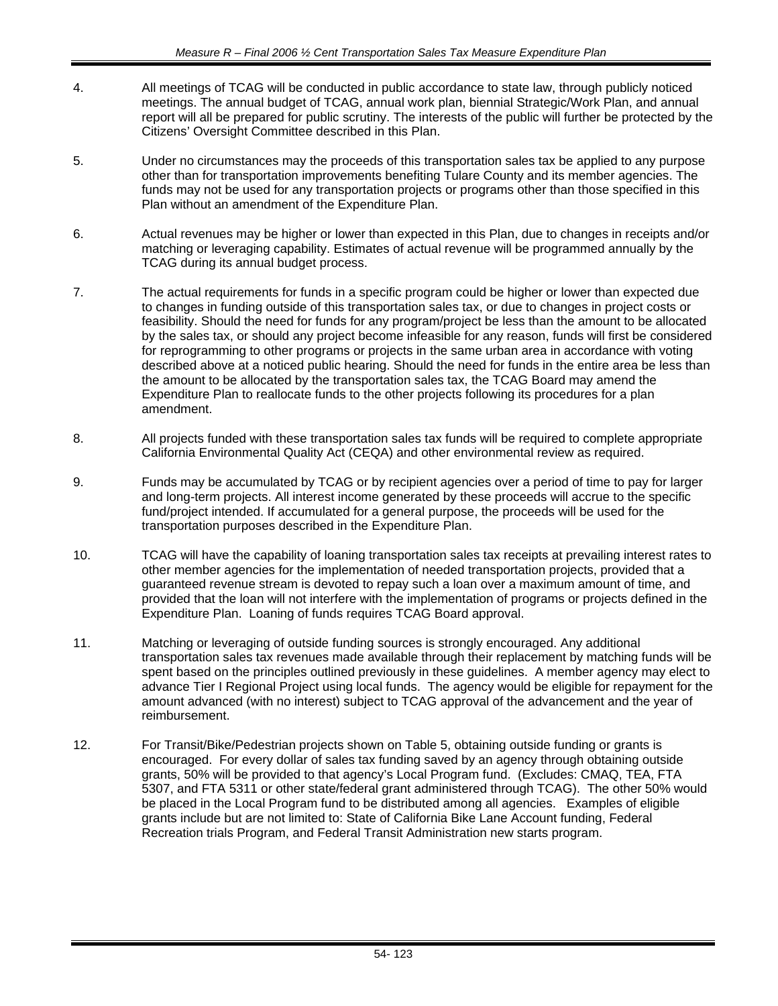- 4. All meetings of TCAG will be conducted in public accordance to state law, through publicly noticed meetings. The annual budget of TCAG, annual work plan, biennial Strategic/Work Plan, and annual report will all be prepared for public scrutiny. The interests of the public will further be protected by the Citizens' Oversight Committee described in this Plan.
- 5. Under no circumstances may the proceeds of this transportation sales tax be applied to any purpose other than for transportation improvements benefiting Tulare County and its member agencies. The funds may not be used for any transportation projects or programs other than those specified in this Plan without an amendment of the Expenditure Plan.
- 6. Actual revenues may be higher or lower than expected in this Plan, due to changes in receipts and/or matching or leveraging capability. Estimates of actual revenue will be programmed annually by the TCAG during its annual budget process.
- 7. The actual requirements for funds in a specific program could be higher or lower than expected due to changes in funding outside of this transportation sales tax, or due to changes in project costs or feasibility. Should the need for funds for any program/project be less than the amount to be allocated by the sales tax, or should any project become infeasible for any reason, funds will first be considered for reprogramming to other programs or projects in the same urban area in accordance with voting described above at a noticed public hearing. Should the need for funds in the entire area be less than the amount to be allocated by the transportation sales tax, the TCAG Board may amend the Expenditure Plan to reallocate funds to the other projects following its procedures for a plan amendment.
- 8. All projects funded with these transportation sales tax funds will be required to complete appropriate California Environmental Quality Act (CEQA) and other environmental review as required.
- 9. Funds may be accumulated by TCAG or by recipient agencies over a period of time to pay for larger and long-term projects. All interest income generated by these proceeds will accrue to the specific fund/project intended. If accumulated for a general purpose, the proceeds will be used for the transportation purposes described in the Expenditure Plan.
- 10. TCAG will have the capability of loaning transportation sales tax receipts at prevailing interest rates to other member agencies for the implementation of needed transportation projects, provided that a guaranteed revenue stream is devoted to repay such a loan over a maximum amount of time, and provided that the loan will not interfere with the implementation of programs or projects defined in the Expenditure Plan. Loaning of funds requires TCAG Board approval.
- 11. Matching or leveraging of outside funding sources is strongly encouraged. Any additional transportation sales tax revenues made available through their replacement by matching funds will be spent based on the principles outlined previously in these guidelines. A member agency may elect to advance Tier I Regional Project using local funds. The agency would be eligible for repayment for the amount advanced (with no interest) subject to TCAG approval of the advancement and the year of reimbursement.
- 12. For Transit/Bike/Pedestrian projects shown on Table 5, obtaining outside funding or grants is encouraged. For every dollar of sales tax funding saved by an agency through obtaining outside grants, 50% will be provided to that agency's Local Program fund. (Excludes: CMAQ, TEA, FTA 5307, and FTA 5311 or other state/federal grant administered through TCAG). The other 50% would be placed in the Local Program fund to be distributed among all agencies. Examples of eligible grants include but are not limited to: State of California Bike Lane Account funding, Federal Recreation trials Program, and Federal Transit Administration new starts program.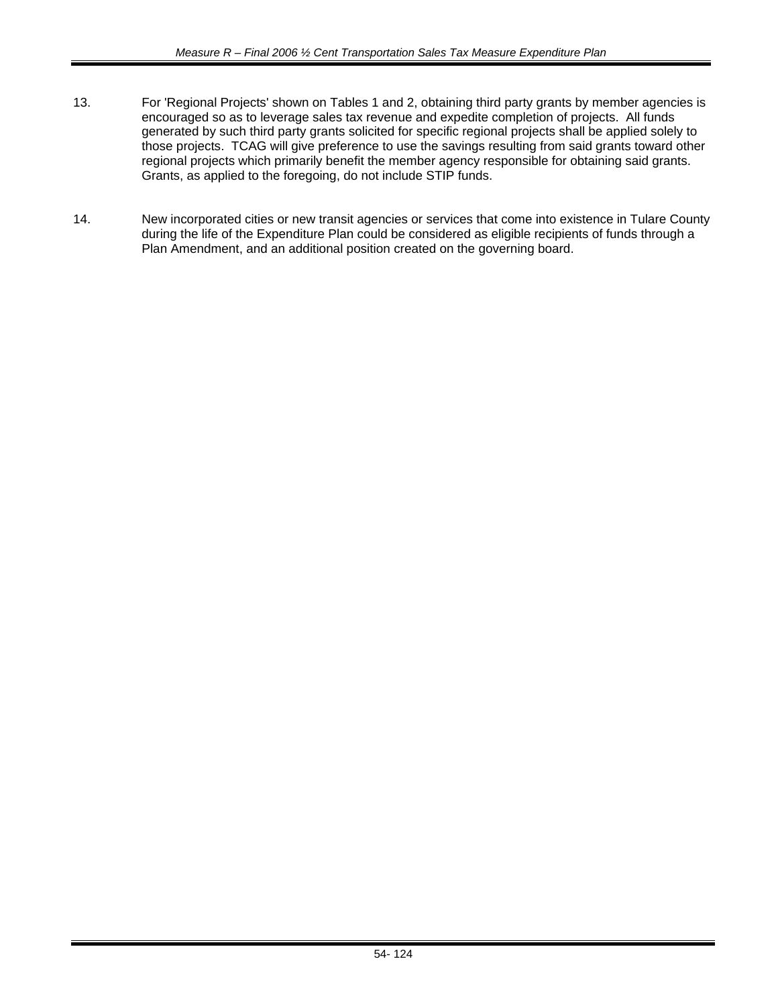- 13. For 'Regional Projects' shown on Tables 1 and 2, obtaining third party grants by member agencies is encouraged so as to leverage sales tax revenue and expedite completion of projects. All funds generated by such third party grants solicited for specific regional projects shall be applied solely to those projects. TCAG will give preference to use the savings resulting from said grants toward other regional projects which primarily benefit the member agency responsible for obtaining said grants. Grants, as applied to the foregoing, do not include STIP funds.
- 14. New incorporated cities or new transit agencies or services that come into existence in Tulare County during the life of the Expenditure Plan could be considered as eligible recipients of funds through a Plan Amendment, and an additional position created on the governing board.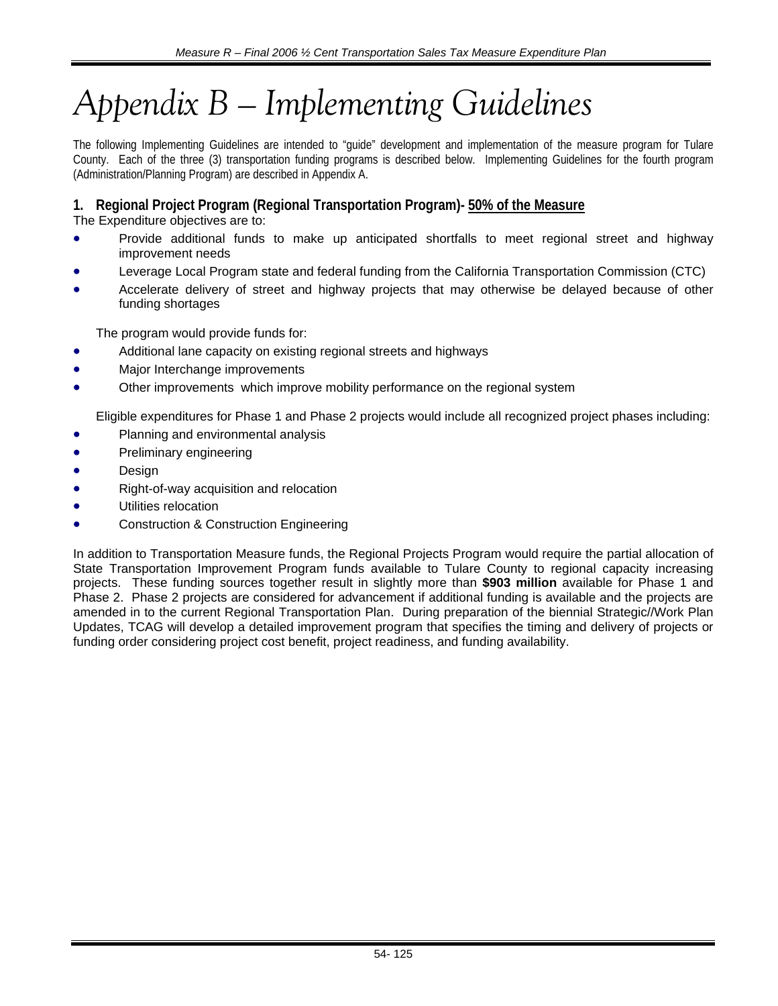# *Appendix B – Implementing Guidelines*

The following Implementing Guidelines are intended to "guide" development and implementation of the measure program for Tulare County. Each of the three (3) transportation funding programs is described below. Implementing Guidelines for the fourth program (Administration/Planning Program) are described in Appendix A.

# **1. Regional Project Program (Regional Transportation Program)- 50% of the Measure**

The Expenditure objectives are to:

- Provide additional funds to make up anticipated shortfalls to meet regional street and highway improvement needs
- Leverage Local Program state and federal funding from the California Transportation Commission (CTC)
- Accelerate delivery of street and highway projects that may otherwise be delayed because of other funding shortages

The program would provide funds for:

- Additional lane capacity on existing regional streets and highways
- Major Interchange improvements
- Other improvements which improve mobility performance on the regional system

Eligible expenditures for Phase 1 and Phase 2 projects would include all recognized project phases including:

- Planning and environmental analysis
- Preliminary engineering
- **Design**
- Right-of-way acquisition and relocation
- Utilities relocation
- Construction & Construction Engineering

In addition to Transportation Measure funds, the Regional Projects Program would require the partial allocation of State Transportation Improvement Program funds available to Tulare County to regional capacity increasing projects. These funding sources together result in slightly more than **\$903 million** available for Phase 1 and Phase 2. Phase 2 projects are considered for advancement if additional funding is available and the projects are amended in to the current Regional Transportation Plan. During preparation of the biennial Strategic//Work Plan Updates, TCAG will develop a detailed improvement program that specifies the timing and delivery of projects or funding order considering project cost benefit, project readiness, and funding availability.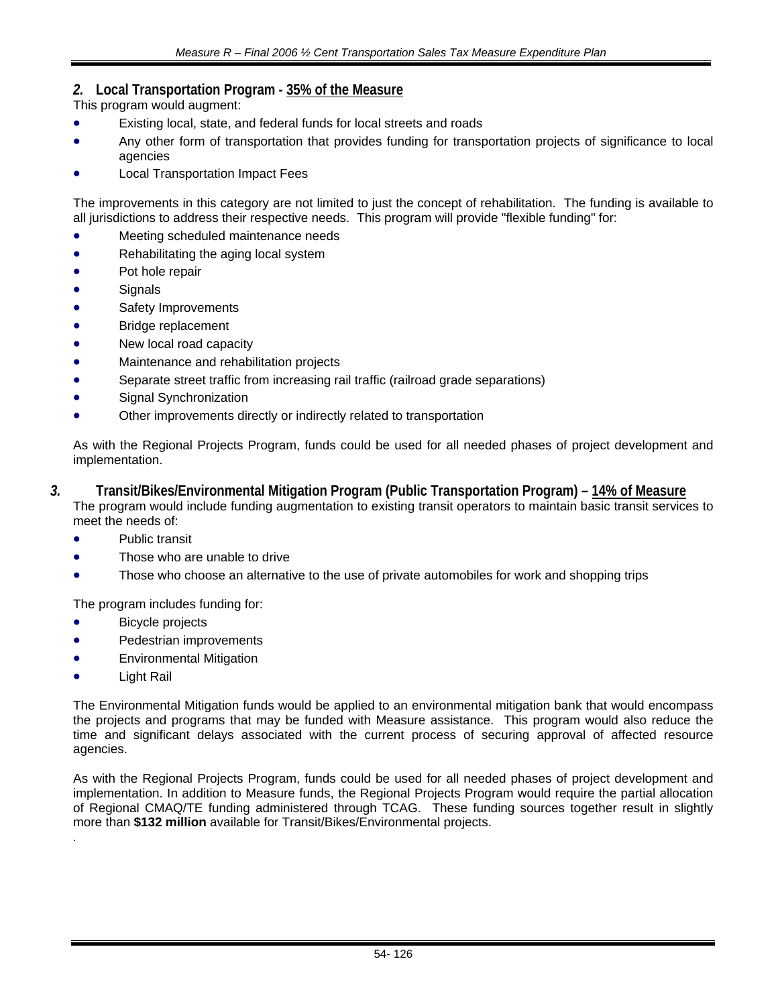# *2.* **Local Transportation Program - 35% of the Measure**

This program would augment:

- Existing local, state, and federal funds for local streets and roads
- Any other form of transportation that provides funding for transportation projects of significance to local agencies
- Local Transportation Impact Fees

The improvements in this category are not limited to just the concept of rehabilitation. The funding is available to all jurisdictions to address their respective needs. This program will provide "flexible funding" for:

- Meeting scheduled maintenance needs
- Rehabilitating the aging local system
- Pot hole repair
- **Signals**
- Safety Improvements
- Bridge replacement
- New local road capacity
- Maintenance and rehabilitation projects
- Separate street traffic from increasing rail traffic (railroad grade separations)
- Signal Synchronization
- Other improvements directly or indirectly related to transportation

As with the Regional Projects Program, funds could be used for all needed phases of project development and implementation.

- *3.* **Transit/Bikes/Environmental Mitigation Program (Public Transportation Program) 14% of Measure** The program would include funding augmentation to existing transit operators to maintain basic transit services to meet the needs of:
	- Public transit
	- Those who are unable to drive
	- Those who choose an alternative to the use of private automobiles for work and shopping trips

The program includes funding for:

- **Bicycle projects**
- Pedestrian improvements
- Environmental Mitigation
- Light Rail

.

The Environmental Mitigation funds would be applied to an environmental mitigation bank that would encompass the projects and programs that may be funded with Measure assistance. This program would also reduce the time and significant delays associated with the current process of securing approval of affected resource agencies.

As with the Regional Projects Program, funds could be used for all needed phases of project development and implementation. In addition to Measure funds, the Regional Projects Program would require the partial allocation of Regional CMAQ/TE funding administered through TCAG. These funding sources together result in slightly more than **\$132 million** available for Transit/Bikes/Environmental projects.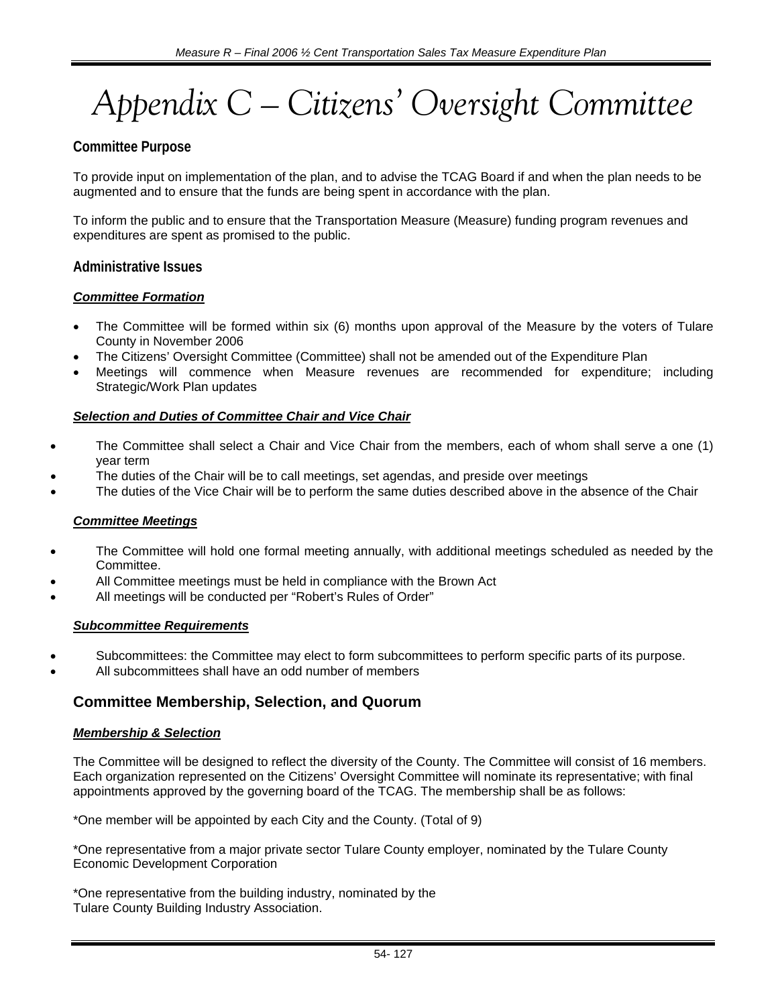# *Appendix C – Citizens' Oversight Committee*

# **Committee Purpose**

To provide input on implementation of the plan, and to advise the TCAG Board if and when the plan needs to be augmented and to ensure that the funds are being spent in accordance with the plan.

To inform the public and to ensure that the Transportation Measure (Measure) funding program revenues and expenditures are spent as promised to the public.

### **Administrative Issues**

### *Committee Formation*

- The Committee will be formed within six (6) months upon approval of the Measure by the voters of Tulare County in November 2006
- The Citizens' Oversight Committee (Committee) shall not be amended out of the Expenditure Plan
- Meetings will commence when Measure revenues are recommended for expenditure; including Strategic/Work Plan updates

### *Selection and Duties of Committee Chair and Vice Chair*

- The Committee shall select a Chair and Vice Chair from the members, each of whom shall serve a one (1) year term
- The duties of the Chair will be to call meetings, set agendas, and preside over meetings
- The duties of the Vice Chair will be to perform the same duties described above in the absence of the Chair

### *Committee Meetings*

- The Committee will hold one formal meeting annually, with additional meetings scheduled as needed by the Committee.
- All Committee meetings must be held in compliance with the Brown Act
- All meetings will be conducted per "Robert's Rules of Order"

### *Subcommittee Requirements*

- Subcommittees: the Committee may elect to form subcommittees to perform specific parts of its purpose.
- All subcommittees shall have an odd number of members

# **Committee Membership, Selection, and Quorum**

### *Membership & Selection*

The Committee will be designed to reflect the diversity of the County. The Committee will consist of 16 members. Each organization represented on the Citizens' Oversight Committee will nominate its representative; with final appointments approved by the governing board of the TCAG. The membership shall be as follows:

\*One member will be appointed by each City and the County. (Total of 9)

\*One representative from a major private sector Tulare County employer, nominated by the Tulare County Economic Development Corporation

\*One representative from the building industry, nominated by the Tulare County Building Industry Association.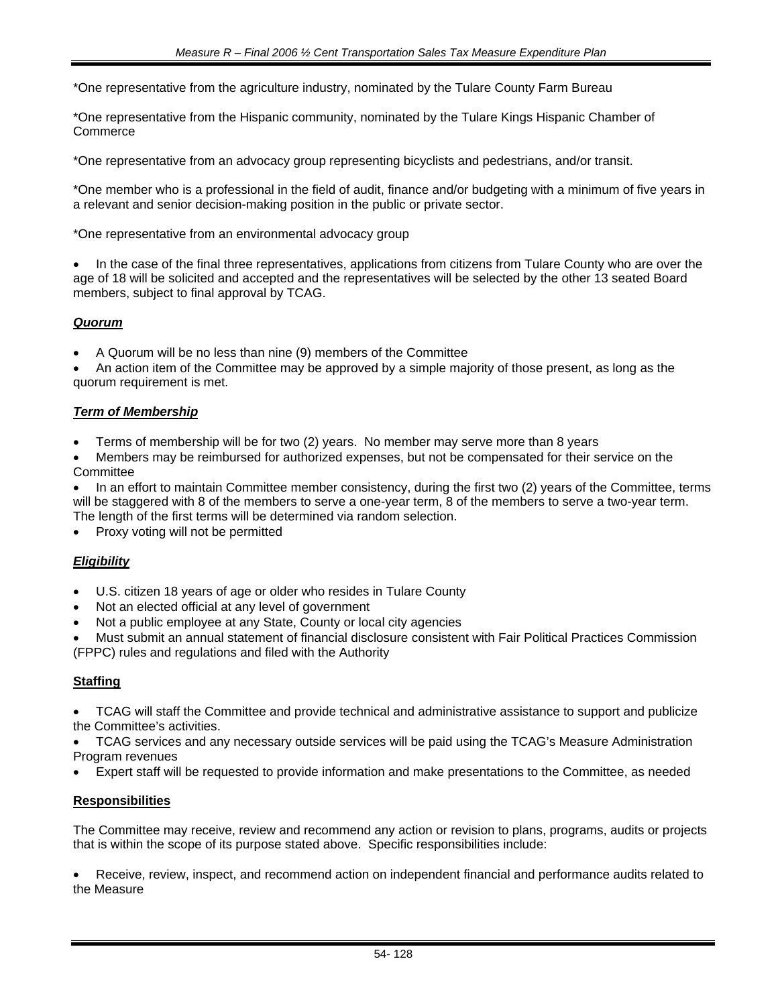\*One representative from the agriculture industry, nominated by the Tulare County Farm Bureau

\*One representative from the Hispanic community, nominated by the Tulare Kings Hispanic Chamber of **Commerce** 

\*One representative from an advocacy group representing bicyclists and pedestrians, and/or transit.

\*One member who is a professional in the field of audit, finance and/or budgeting with a minimum of five years in a relevant and senior decision-making position in the public or private sector.

\*One representative from an environmental advocacy group

• In the case of the final three representatives, applications from citizens from Tulare County who are over the age of 18 will be solicited and accepted and the representatives will be selected by the other 13 seated Board members, subject to final approval by TCAG.

### *Quorum*

• A Quorum will be no less than nine (9) members of the Committee

• An action item of the Committee may be approved by a simple majority of those present, as long as the quorum requirement is met.

### *Term of Membership*

- Terms of membership will be for two (2) years. No member may serve more than 8 years
- Members may be reimbursed for authorized expenses, but not be compensated for their service on the **Committee**

• In an effort to maintain Committee member consistency, during the first two (2) years of the Committee, terms will be staggered with 8 of the members to serve a one-year term, 8 of the members to serve a two-year term. The length of the first terms will be determined via random selection.

Proxy voting will not be permitted

### *Eligibility*

- U.S. citizen 18 years of age or older who resides in Tulare County
- Not an elected official at any level of government
- Not a public employee at any State, County or local city agencies

• Must submit an annual statement of financial disclosure consistent with Fair Political Practices Commission (FPPC) rules and regulations and filed with the Authority

#### **Staffing**

• TCAG will staff the Committee and provide technical and administrative assistance to support and publicize the Committee's activities.

• TCAG services and any necessary outside services will be paid using the TCAG's Measure Administration Program revenues

• Expert staff will be requested to provide information and make presentations to the Committee, as needed

#### **Responsibilities**

The Committee may receive, review and recommend any action or revision to plans, programs, audits or projects that is within the scope of its purpose stated above. Specific responsibilities include:

• Receive, review, inspect, and recommend action on independent financial and performance audits related to the Measure